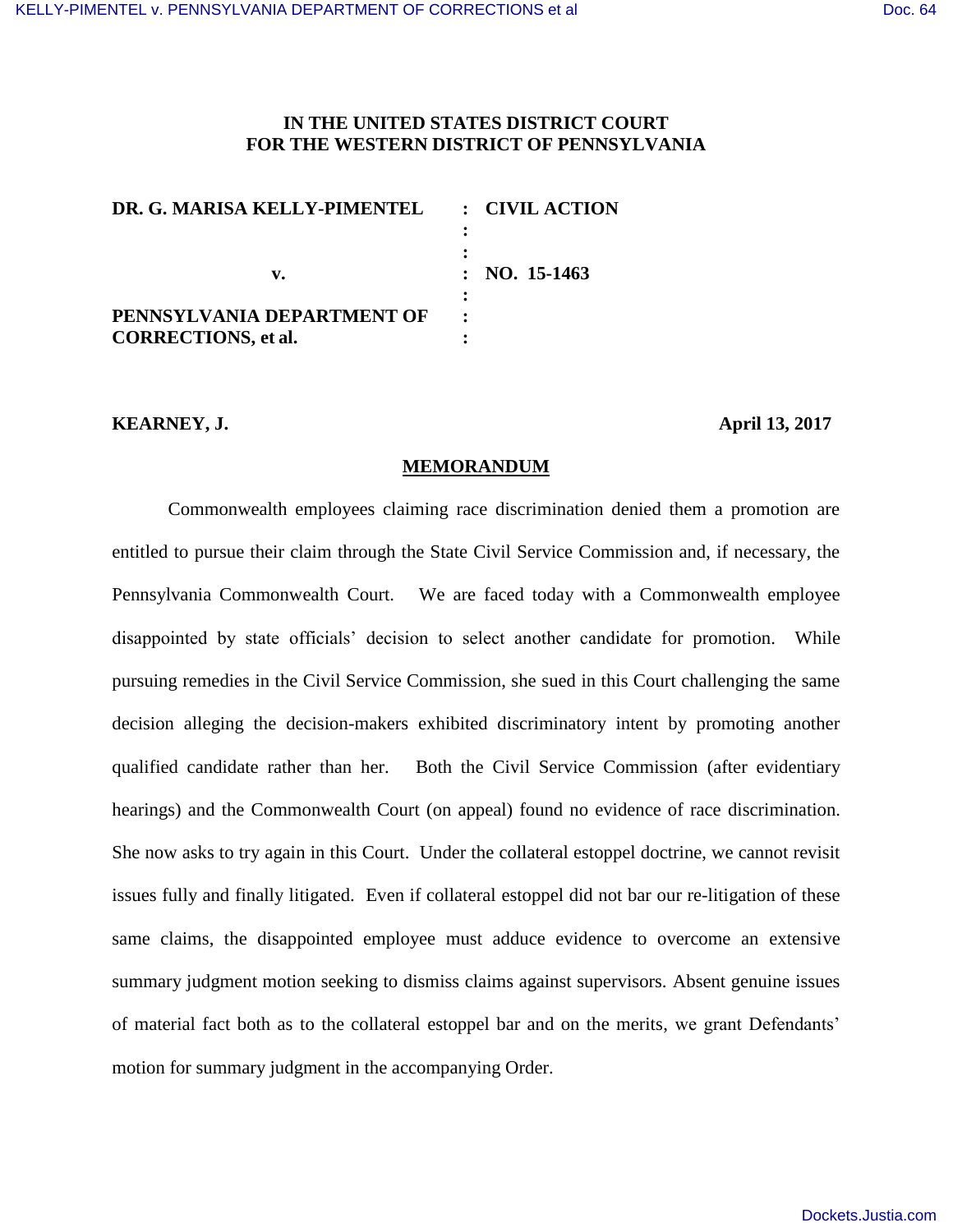## **IN THE UNITED STATES DISTRICT COURT FOR THE WESTERN DISTRICT OF PENNSYLVANIA**

| DR. G. MARISA KELLY-PIMENTEL                             | : CIVIL ACTION          |
|----------------------------------------------------------|-------------------------|
| $\mathbf{v}$ .                                           | $: \text{NO. } 15-1463$ |
| PENNSYLVANIA DEPARTMENT OF<br><b>CORRECTIONS, et al.</b> |                         |

#### **KEARNEY, J. April 13, 2017**

#### **MEMORANDUM**

 Commonwealth employees claiming race discrimination denied them a promotion are entitled to pursue their claim through the State Civil Service Commission and, if necessary, the Pennsylvania Commonwealth Court. We are faced today with a Commonwealth employee disappointed by state officials' decision to select another candidate for promotion. While pursuing remedies in the Civil Service Commission, she sued in this Court challenging the same decision alleging the decision-makers exhibited discriminatory intent by promoting another qualified candidate rather than her. Both the Civil Service Commission (after evidentiary hearings) and the Commonwealth Court (on appeal) found no evidence of race discrimination. She now asks to try again in this Court. Under the collateral estoppel doctrine, we cannot revisit issues fully and finally litigated. Even if collateral estoppel did not bar our re-litigation of these same claims, the disappointed employee must adduce evidence to overcome an extensive summary judgment motion seeking to dismiss claims against supervisors. Absent genuine issues of material fact both as to the collateral estoppel bar and on the merits, we grant Defendants' motion for summary judgment in the accompanying Order.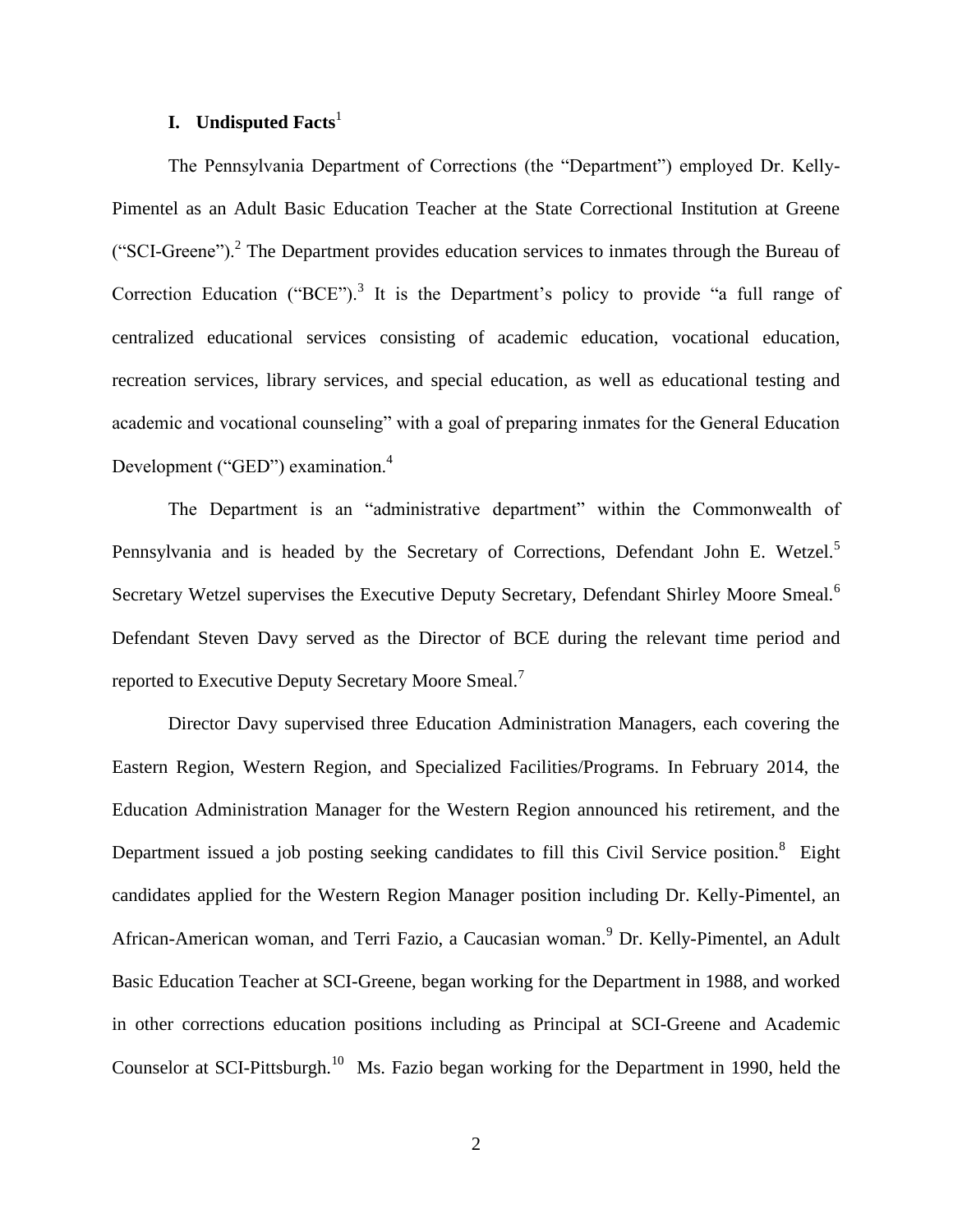## **I. Undisputed Facts**<sup>1</sup>

The Pennsylvania Department of Corrections (the "Department") employed Dr. Kelly-Pimentel as an Adult Basic Education Teacher at the State Correctional Institution at Greene ("SCI-Greene").<sup>2</sup> The Department provides education services to inmates through the Bureau of Correction Education ("BCE").<sup>3</sup> It is the Department's policy to provide "a full range of centralized educational services consisting of academic education, vocational education, recreation services, library services, and special education, as well as educational testing and academic and vocational counseling" with a goal of preparing inmates for the General Education Development ("GED") examination.<sup>4</sup>

The Department is an "administrative department" within the Commonwealth of Pennsylvania and is headed by the Secretary of Corrections, Defendant John E. Wetzel.<sup>5</sup> Secretary Wetzel supervises the Executive Deputy Secretary, Defendant Shirley Moore Smeal.<sup>6</sup> Defendant Steven Davy served as the Director of BCE during the relevant time period and reported to Executive Deputy Secretary Moore Smeal.<sup>7</sup>

 Director Davy supervised three Education Administration Managers, each covering the Eastern Region, Western Region, and Specialized Facilities/Programs. In February 2014, the Education Administration Manager for the Western Region announced his retirement, and the Department issued a job posting seeking candidates to fill this Civil Service position.<sup>8</sup> Eight candidates applied for the Western Region Manager position including Dr. Kelly-Pimentel, an African-American woman, and Terri Fazio, a Caucasian woman.<sup>9</sup> Dr. Kelly-Pimentel, an Adult Basic Education Teacher at SCI-Greene, began working for the Department in 1988, and worked in other corrections education positions including as Principal at SCI-Greene and Academic Counselor at SCI-Pittsburgh.<sup>10</sup> Ms. Fazio began working for the Department in 1990, held the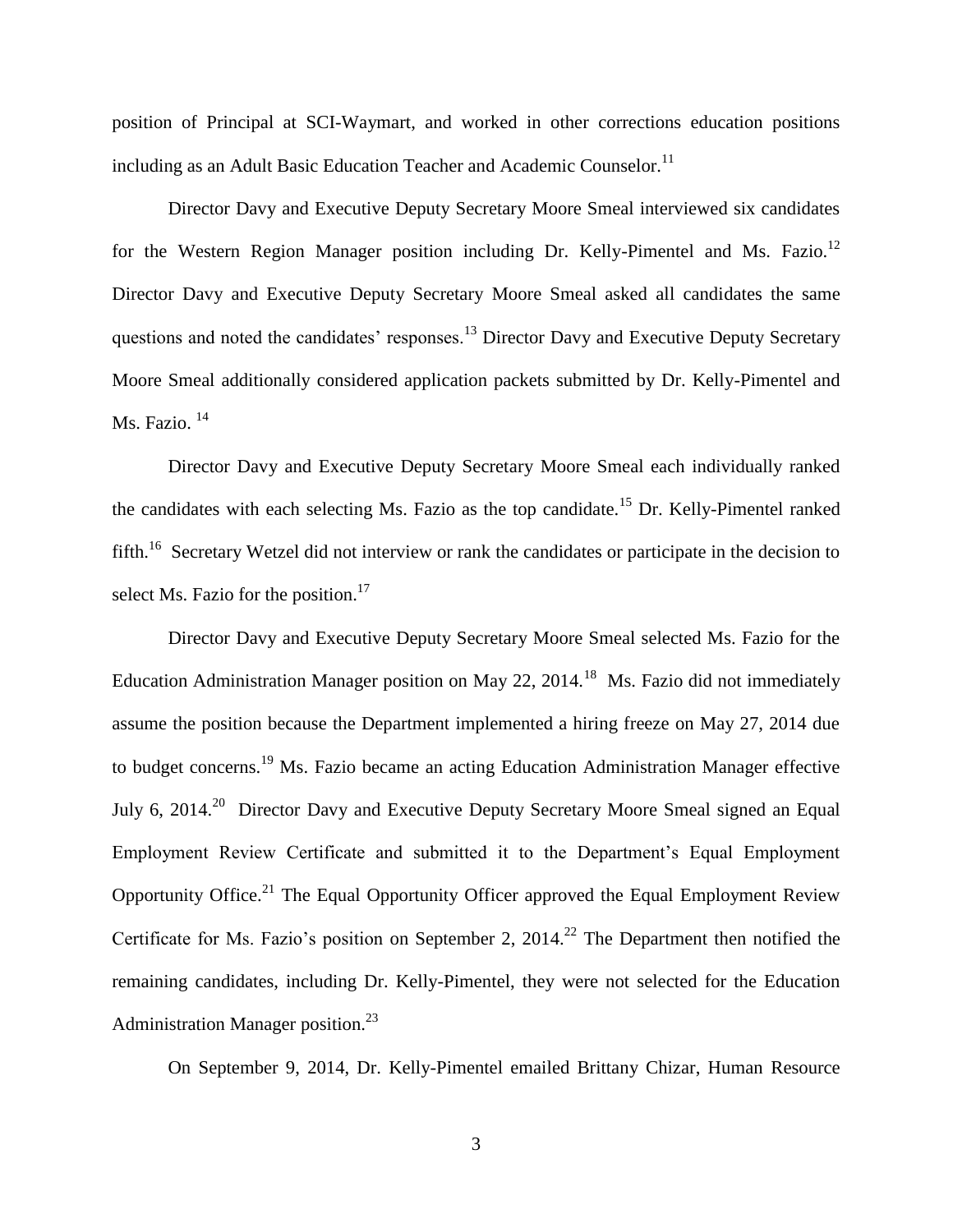position of Principal at SCI-Waymart, and worked in other corrections education positions including as an Adult Basic Education Teacher and Academic Counselor.<sup>11</sup>

 Director Davy and Executive Deputy Secretary Moore Smeal interviewed six candidates for the Western Region Manager position including Dr. Kelly-Pimentel and Ms. Fazio.<sup>12</sup> Director Davy and Executive Deputy Secretary Moore Smeal asked all candidates the same questions and noted the candidates' responses.<sup>13</sup> Director Davy and Executive Deputy Secretary Moore Smeal additionally considered application packets submitted by Dr. Kelly-Pimentel and Ms. Fazio. <sup>14</sup>

 Director Davy and Executive Deputy Secretary Moore Smeal each individually ranked the candidates with each selecting Ms. Fazio as the top candidate.<sup>15</sup> Dr. Kelly-Pimentel ranked fifth.<sup>16</sup> Secretary Wetzel did not interview or rank the candidates or participate in the decision to select Ms. Fazio for the position. $17$ 

 Director Davy and Executive Deputy Secretary Moore Smeal selected Ms. Fazio for the Education Administration Manager position on May 22, 2014.<sup>18</sup> Ms. Fazio did not immediately assume the position because the Department implemented a hiring freeze on May 27, 2014 due to budget concerns.<sup>19</sup> Ms. Fazio became an acting Education Administration Manager effective July 6, 2014.<sup>20</sup> Director Davy and Executive Deputy Secretary Moore Smeal signed an Equal Employment Review Certificate and submitted it to the Department's Equal Employment Opportunity Office.<sup>21</sup> The Equal Opportunity Officer approved the Equal Employment Review Certificate for Ms. Fazio's position on September 2,  $2014<sup>22</sup>$  The Department then notified the remaining candidates, including Dr. Kelly-Pimentel, they were not selected for the Education Administration Manager position.<sup>23</sup>

On September 9, 2014, Dr. Kelly-Pimentel emailed Brittany Chizar, Human Resource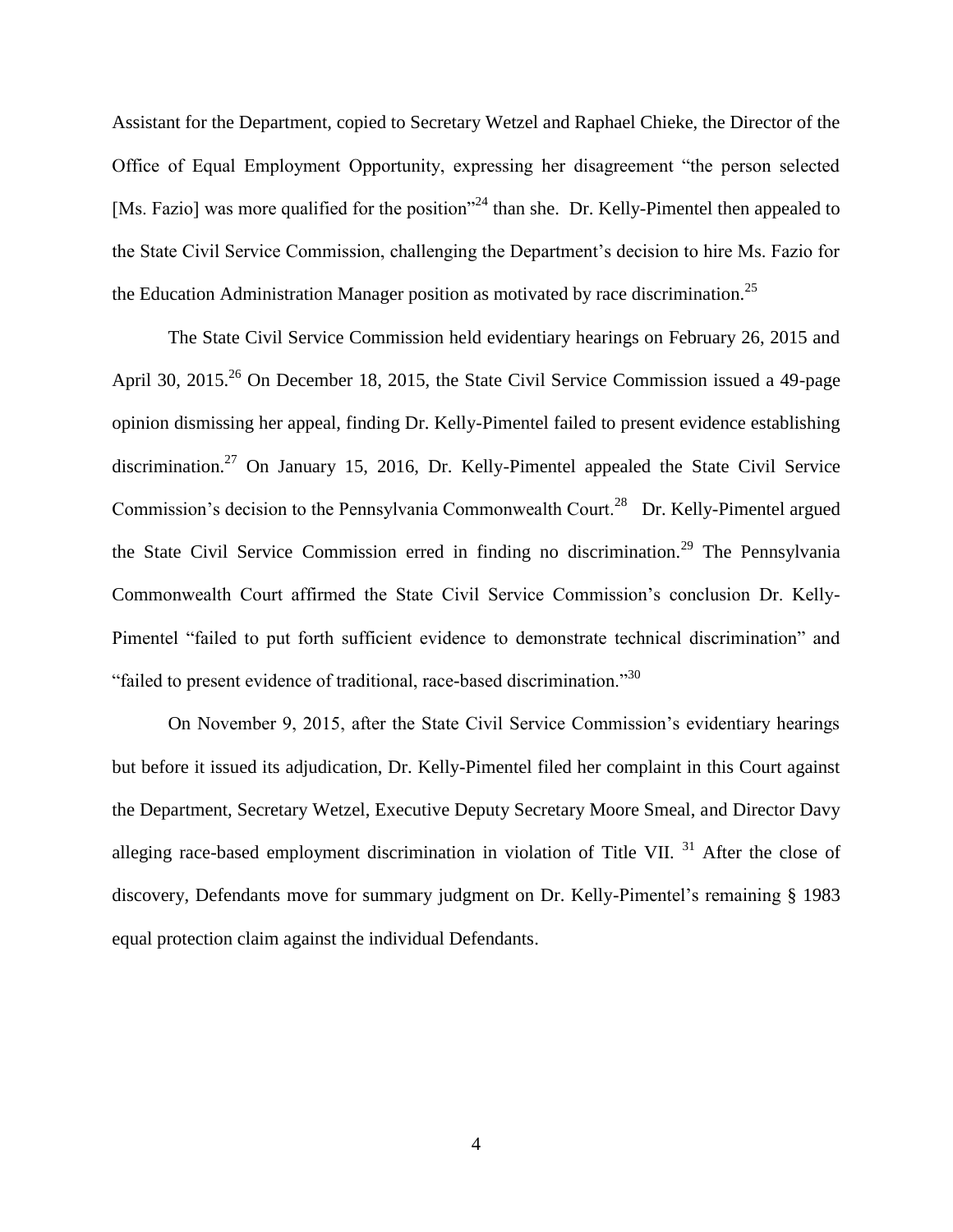Assistant for the Department, copied to Secretary Wetzel and Raphael Chieke, the Director of the Office of Equal Employment Opportunity, expressing her disagreement "the person selected [Ms. Fazio] was more qualified for the position<sup>224</sup> than she. Dr. Kelly-Pimentel then appealed to the State Civil Service Commission, challenging the Department's decision to hire Ms. Fazio for the Education Administration Manager position as motivated by race discrimination.<sup>25</sup>

 The State Civil Service Commission held evidentiary hearings on February 26, 2015 and April 30, 2015.<sup>26</sup> On December 18, 2015, the State Civil Service Commission issued a 49-page opinion dismissing her appeal, finding Dr. Kelly-Pimentel failed to present evidence establishing discrimination.<sup>27</sup> On January 15, 2016, Dr. Kelly-Pimentel appealed the State Civil Service Commission's decision to the Pennsylvania Commonwealth Court.<sup>28</sup> Dr. Kelly-Pimentel argued the State Civil Service Commission erred in finding no discrimination.<sup>29</sup> The Pennsylvania Commonwealth Court affirmed the State Civil Service Commission's conclusion Dr. Kelly-Pimentel "failed to put forth sufficient evidence to demonstrate technical discrimination" and "failed to present evidence of traditional, race-based discrimination."<sup>30</sup>

 On November 9, 2015, after the State Civil Service Commission's evidentiary hearings but before it issued its adjudication, Dr. Kelly-Pimentel filed her complaint in this Court against the Department, Secretary Wetzel, Executive Deputy Secretary Moore Smeal, and Director Davy alleging race-based employment discrimination in violation of Title VII.  $31$  After the close of discovery, Defendants move for summary judgment on Dr. Kelly-Pimentel's remaining § 1983 equal protection claim against the individual Defendants.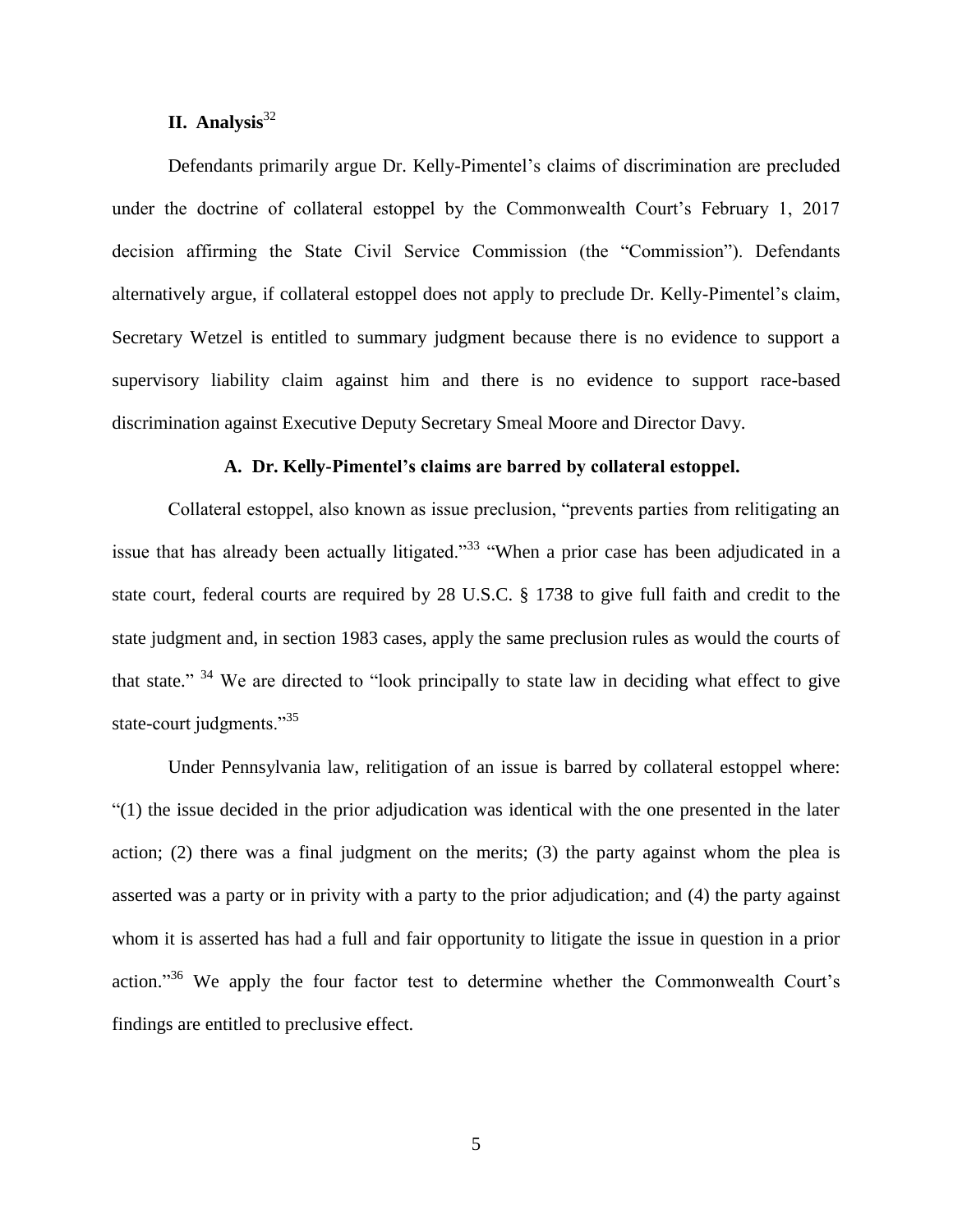# $\mathbf{II.}$  Analysis<sup>32</sup>

 Defendants primarily argue Dr. Kelly-Pimentel's claims of discrimination are precluded under the doctrine of collateral estoppel by the Commonwealth Court's February 1, 2017 decision affirming the State Civil Service Commission (the "Commission"). Defendants alternatively argue, if collateral estoppel does not apply to preclude Dr. Kelly-Pimentel's claim, Secretary Wetzel is entitled to summary judgment because there is no evidence to support a supervisory liability claim against him and there is no evidence to support race-based discrimination against Executive Deputy Secretary Smeal Moore and Director Davy.

#### **A. Dr. Kelly-Pimentel's claims are barred by collateral estoppel.**

Collateral estoppel, also known as issue preclusion, "prevents parties from relitigating an issue that has already been actually litigated."<sup>33</sup> "When a prior case has been adjudicated in a state court, federal courts are required by 28 U.S.C. § 1738 to give full faith and credit to the state judgment and, in section 1983 cases, apply the same preclusion rules as would the courts of that state." <sup>34</sup> We are directed to "look principally to state law in deciding what effect to give state-court judgments."<sup>35</sup>

 Under Pennsylvania law, relitigation of an issue is barred by collateral estoppel where: "(1) the issue decided in the prior adjudication was identical with the one presented in the later action; (2) there was a final judgment on the merits; (3) the party against whom the plea is asserted was a party or in privity with a party to the prior adjudication; and (4) the party against whom it is asserted has had a full and fair opportunity to litigate the issue in question in a prior action."<sup>36</sup> We apply the four factor test to determine whether the Commonwealth Court's findings are entitled to preclusive effect.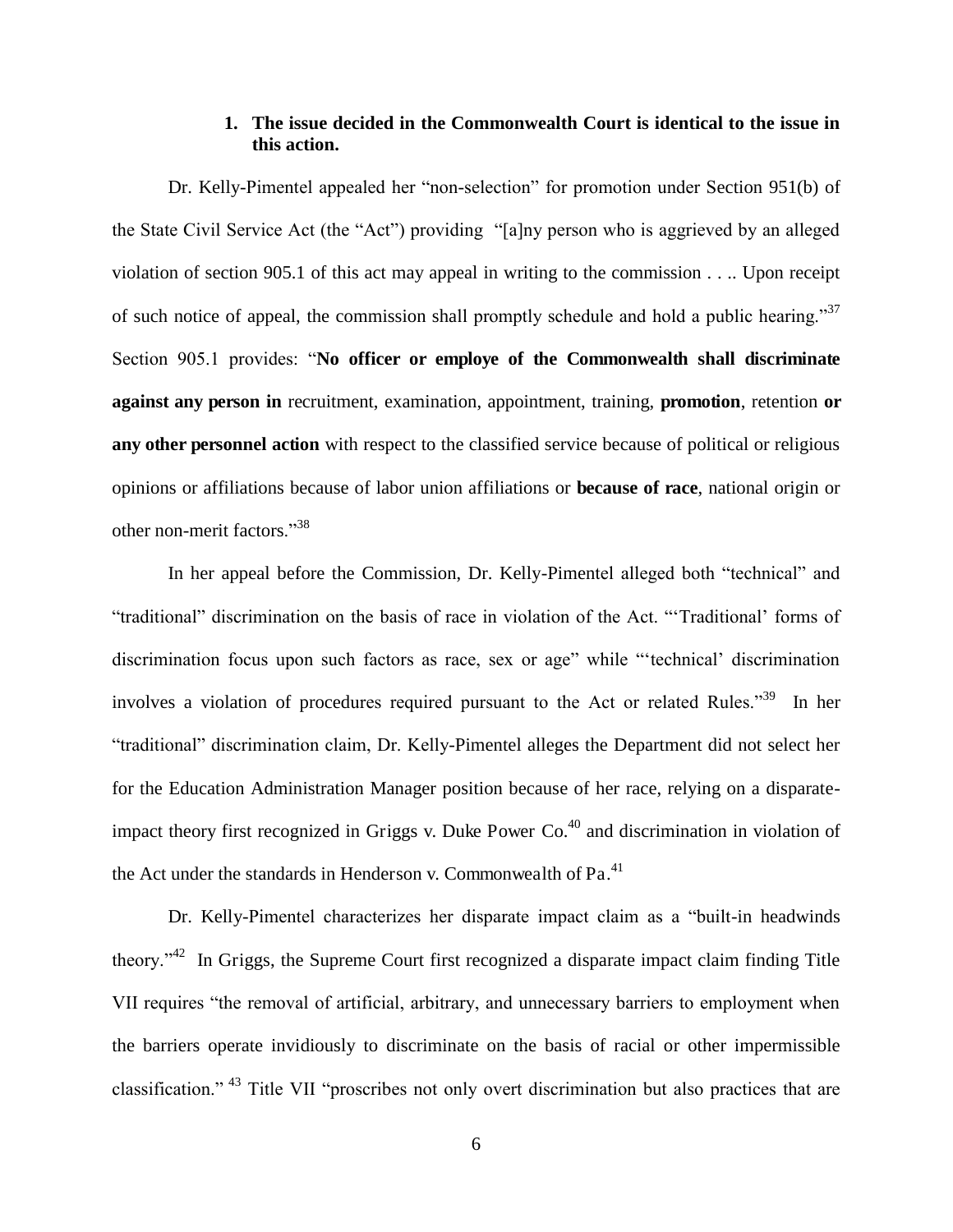## **1. The issue decided in the Commonwealth Court is identical to the issue in this action.**

 Dr. Kelly-Pimentel appealed her "non-selection" for promotion under Section 951(b) of the State Civil Service Act (the "Act") providing "[a]ny person who is aggrieved by an alleged violation of section 905.1 of this act may appeal in writing to the commission . . .. Upon receipt of such notice of appeal, the commission shall promptly schedule and hold a public hearing."<sup>37</sup> Section 905.1 provides: "**No officer or employe of the Commonwealth shall discriminate against any person in** recruitment, examination, appointment, training, **promotion**, retention **or any other personnel action** with respect to the classified service because of political or religious opinions or affiliations because of labor union affiliations or **because of race**, national origin or other non-merit factors."<sup>38</sup>

 In her appeal before the Commission, Dr. Kelly-Pimentel alleged both "technical" and "traditional" discrimination on the basis of race in violation of the Act. "'Traditional' forms of discrimination focus upon such factors as race, sex or age" while "'technical' discrimination involves a violation of procedures required pursuant to the Act or related Rules."<sup>39</sup> In her "traditional" discrimination claim, Dr. Kelly-Pimentel alleges the Department did not select her for the Education Administration Manager position because of her race, relying on a disparateimpact theory first recognized in Griggs v. Duke Power  $Co<sup>40</sup>$  and discrimination in violation of the Act under the standards in Henderson v. Commonwealth of  $Pa<sup>41</sup>$ .

 Dr. Kelly-Pimentel characterizes her disparate impact claim as a "built-in headwinds theory."<sup>42</sup> In Griggs, the Supreme Court first recognized a disparate impact claim finding Title VII requires "the removal of artificial, arbitrary, and unnecessary barriers to employment when the barriers operate invidiously to discriminate on the basis of racial or other impermissible classification." <sup>43</sup> Title VII "proscribes not only overt discrimination but also practices that are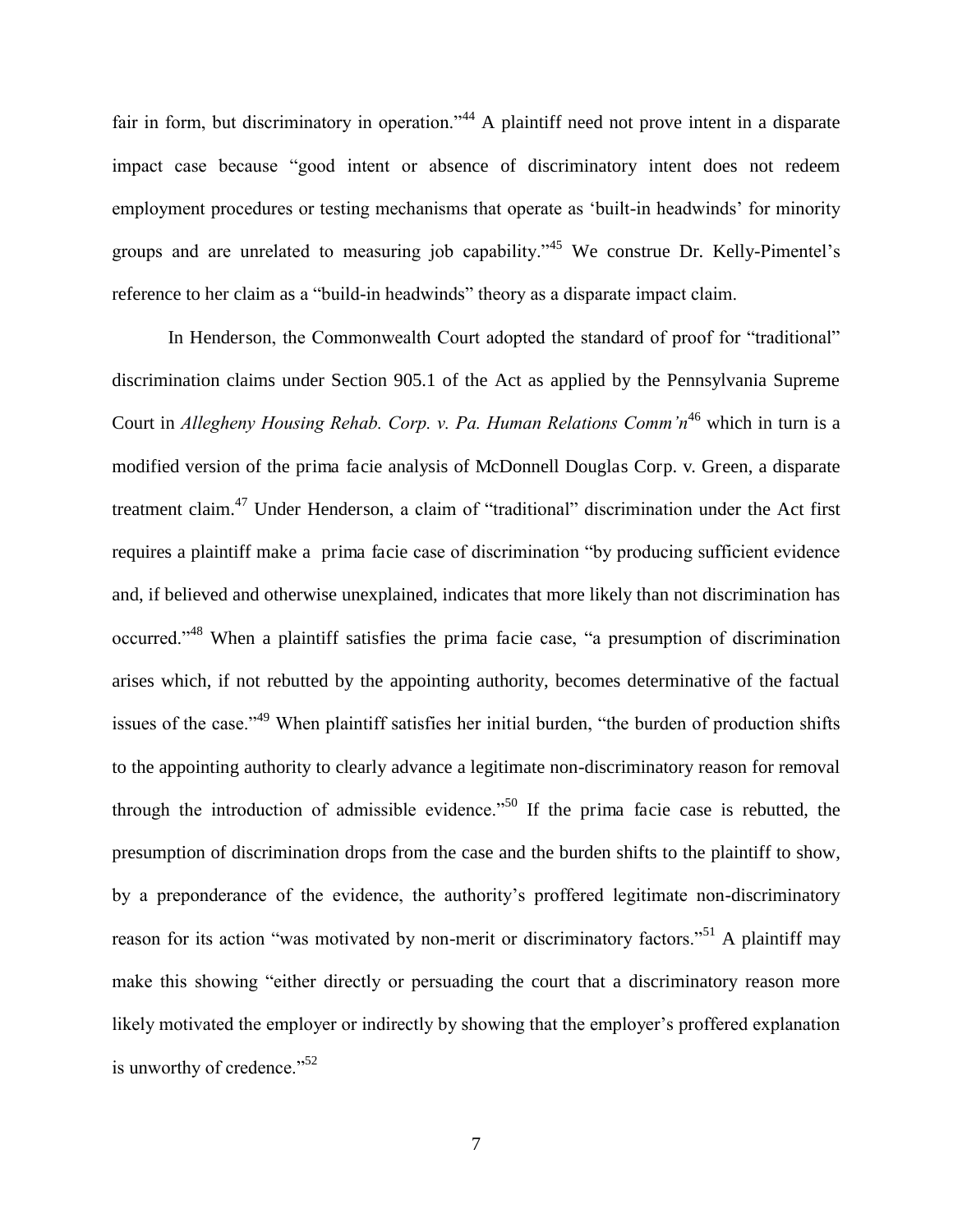fair in form, but discriminatory in operation."<sup>44</sup> A plaintiff need not prove intent in a disparate impact case because "good intent or absence of discriminatory intent does not redeem employment procedures or testing mechanisms that operate as 'built-in headwinds' for minority groups and are unrelated to measuring job capability."<sup>45</sup> We construe Dr. Kelly-Pimentel's reference to her claim as a "build-in headwinds" theory as a disparate impact claim.

In Henderson, the Commonwealth Court adopted the standard of proof for "traditional" discrimination claims under Section 905.1 of the Act as applied by the Pennsylvania Supreme Court in *Allegheny Housing Rehab. Corp. v. Pa. Human Relations Comm'n*<sup>46</sup> which in turn is a modified version of the prima facie analysis of McDonnell Douglas Corp. v. Green, a disparate treatment claim.<sup>47</sup> Under Henderson, a claim of "traditional" discrimination under the Act first requires a plaintiff make a prima facie case of discrimination "by producing sufficient evidence and, if believed and otherwise unexplained, indicates that more likely than not discrimination has occurred."<sup>48</sup> When a plaintiff satisfies the prima facie case, "a presumption of discrimination arises which, if not rebutted by the appointing authority, becomes determinative of the factual issues of the case."<sup>49</sup> When plaintiff satisfies her initial burden, "the burden of production shifts to the appointing authority to clearly advance a legitimate non-discriminatory reason for removal through the introduction of admissible evidence.<sup> $50$ </sup> If the prima facie case is rebutted, the presumption of discrimination drops from the case and the burden shifts to the plaintiff to show, by a preponderance of the evidence, the authority's proffered legitimate non-discriminatory reason for its action "was motivated by non-merit or discriminatory factors."<sup>51</sup> A plaintiff may make this showing "either directly or persuading the court that a discriminatory reason more likely motivated the employer or indirectly by showing that the employer's proffered explanation is unworthy of credence."<sup>52</sup>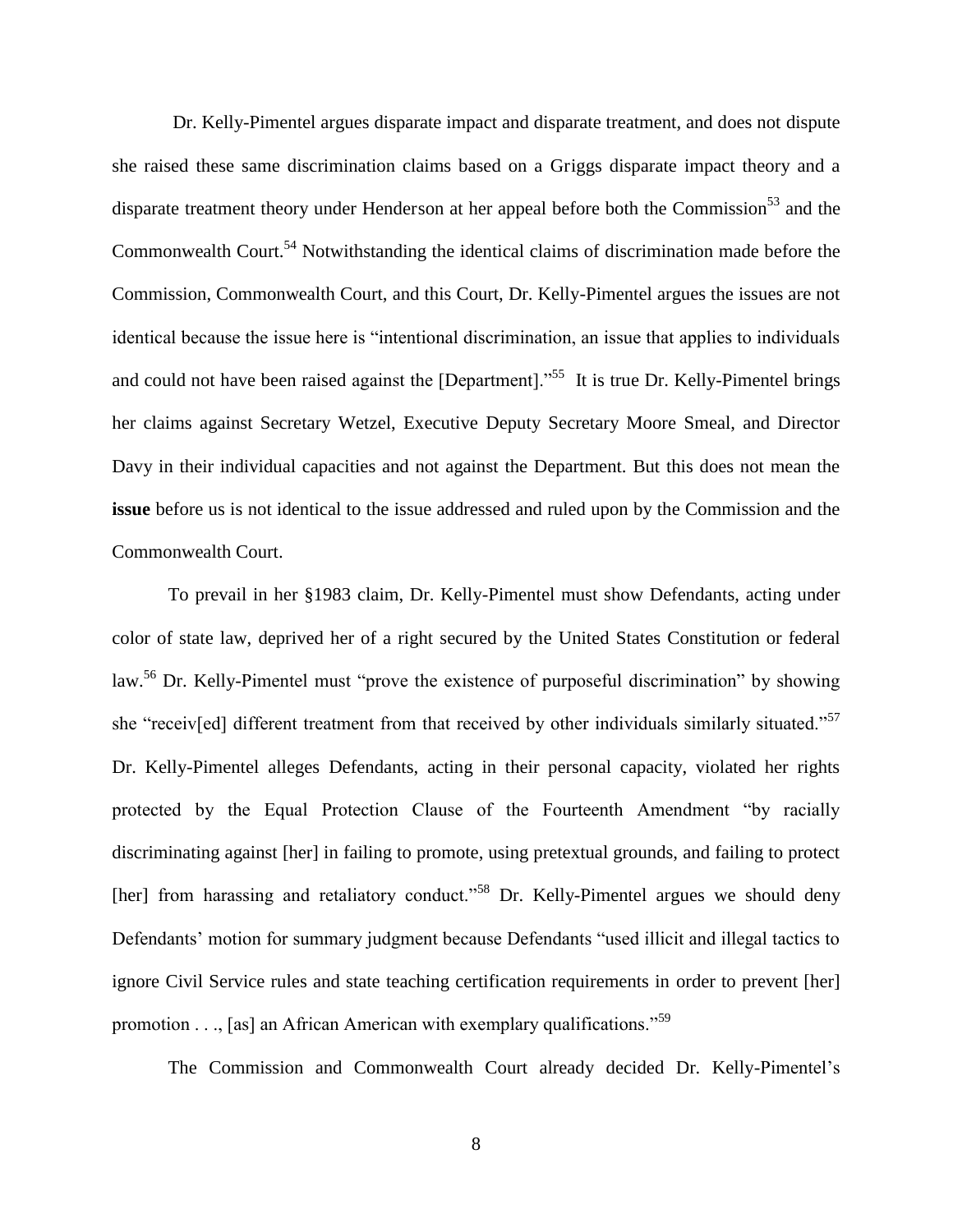Dr. Kelly-Pimentel argues disparate impact and disparate treatment, and does not dispute she raised these same discrimination claims based on a Griggs disparate impact theory and a disparate treatment theory under Henderson at her appeal before both the Commission<sup>53</sup> and the Commonwealth Court.<sup>54</sup> Notwithstanding the identical claims of discrimination made before the Commission, Commonwealth Court, and this Court, Dr. Kelly-Pimentel argues the issues are not identical because the issue here is "intentional discrimination, an issue that applies to individuals and could not have been raised against the [Department].<sup>55</sup> It is true Dr. Kelly-Pimentel brings her claims against Secretary Wetzel, Executive Deputy Secretary Moore Smeal, and Director Davy in their individual capacities and not against the Department. But this does not mean the **issue** before us is not identical to the issue addressed and ruled upon by the Commission and the Commonwealth Court.

 To prevail in her §1983 claim, Dr. Kelly-Pimentel must show Defendants, acting under color of state law, deprived her of a right secured by the United States Constitution or federal law.<sup>56</sup> Dr. Kelly-Pimentel must "prove the existence of purposeful discrimination" by showing she "receiv[ed] different treatment from that received by other individuals similarly situated."<sup>57</sup> Dr. Kelly-Pimentel alleges Defendants, acting in their personal capacity, violated her rights protected by the Equal Protection Clause of the Fourteenth Amendment "by racially discriminating against [her] in failing to promote, using pretextual grounds, and failing to protect [her] from harassing and retaliatory conduct."<sup>58</sup> Dr. Kelly-Pimentel argues we should deny Defendants' motion for summary judgment because Defendants "used illicit and illegal tactics to ignore Civil Service rules and state teaching certification requirements in order to prevent [her] promotion  $\dots$ , [as] an African American with exemplary qualifications.<sup>59</sup>

The Commission and Commonwealth Court already decided Dr. Kelly-Pimentel's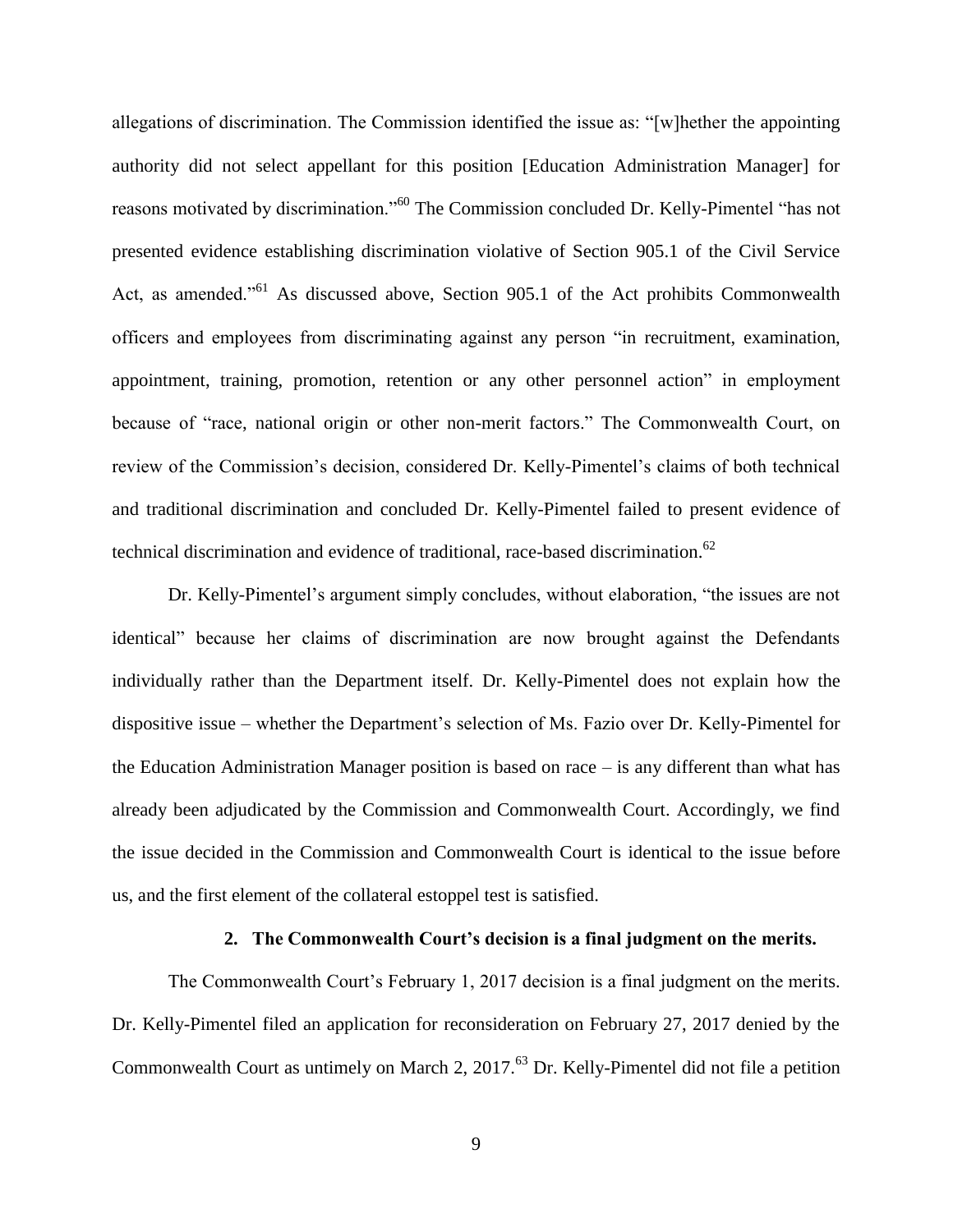allegations of discrimination. The Commission identified the issue as: "[w]hether the appointing authority did not select appellant for this position [Education Administration Manager] for reasons motivated by discrimination."<sup>60</sup> The Commission concluded Dr. Kelly-Pimentel "has not presented evidence establishing discrimination violative of Section 905.1 of the Civil Service Act, as amended."<sup>61</sup> As discussed above, Section 905.1 of the Act prohibits Commonwealth officers and employees from discriminating against any person "in recruitment, examination, appointment, training, promotion, retention or any other personnel action" in employment because of "race, national origin or other non-merit factors." The Commonwealth Court, on review of the Commission's decision, considered Dr. Kelly-Pimentel's claims of both technical and traditional discrimination and concluded Dr. Kelly-Pimentel failed to present evidence of technical discrimination and evidence of traditional, race-based discrimination.<sup>62</sup>

 Dr. Kelly-Pimentel's argument simply concludes, without elaboration, "the issues are not identical" because her claims of discrimination are now brought against the Defendants individually rather than the Department itself. Dr. Kelly-Pimentel does not explain how the dispositive issue – whether the Department's selection of Ms. Fazio over Dr. Kelly-Pimentel for the Education Administration Manager position is based on race – is any different than what has already been adjudicated by the Commission and Commonwealth Court. Accordingly, we find the issue decided in the Commission and Commonwealth Court is identical to the issue before us, and the first element of the collateral estoppel test is satisfied.

### **2. The Commonwealth Court's decision is a final judgment on the merits.**

The Commonwealth Court's February 1, 2017 decision is a final judgment on the merits. Dr. Kelly-Pimentel filed an application for reconsideration on February 27, 2017 denied by the Commonwealth Court as untimely on March 2, 2017.<sup>63</sup> Dr. Kelly-Pimentel did not file a petition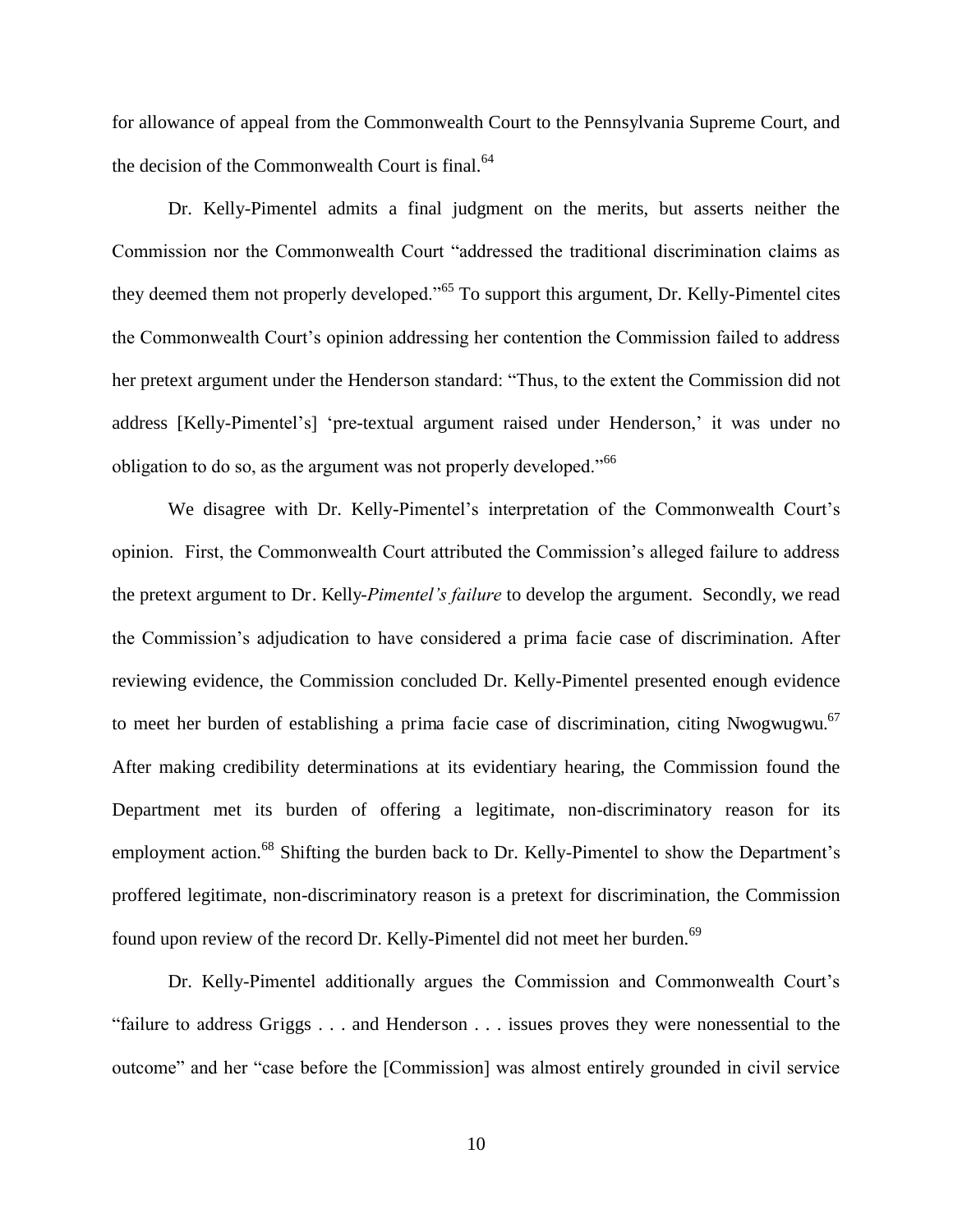for allowance of appeal from the Commonwealth Court to the Pennsylvania Supreme Court, and the decision of the Commonwealth Court is final.<sup>64</sup>

 Dr. Kelly-Pimentel admits a final judgment on the merits, but asserts neither the Commission nor the Commonwealth Court "addressed the traditional discrimination claims as they deemed them not properly developed."<sup>65</sup> To support this argument, Dr. Kelly-Pimentel cites the Commonwealth Court's opinion addressing her contention the Commission failed to address her pretext argument under the Henderson standard: "Thus, to the extent the Commission did not address [Kelly-Pimentel's] 'pre-textual argument raised under Henderson,' it was under no obligation to do so, as the argument was not properly developed."<sup>66</sup>

 We disagree with Dr. Kelly-Pimentel's interpretation of the Commonwealth Court's opinion. First, the Commonwealth Court attributed the Commission's alleged failure to address the pretext argument to Dr. Kelly-*Pimentel's failure* to develop the argument. Secondly, we read the Commission's adjudication to have considered a prima facie case of discrimination. After reviewing evidence, the Commission concluded Dr. Kelly-Pimentel presented enough evidence to meet her burden of establishing a prima facie case of discrimination, citing Nwogwugwu.<sup>67</sup> After making credibility determinations at its evidentiary hearing, the Commission found the Department met its burden of offering a legitimate, non-discriminatory reason for its employment action.<sup>68</sup> Shifting the burden back to Dr. Kelly-Pimentel to show the Department's proffered legitimate, non-discriminatory reason is a pretext for discrimination, the Commission found upon review of the record Dr. Kelly-Pimentel did not meet her burden.<sup>69</sup>

 Dr. Kelly-Pimentel additionally argues the Commission and Commonwealth Court's "failure to address Griggs . . . and Henderson . . . issues proves they were nonessential to the outcome" and her "case before the [Commission] was almost entirely grounded in civil service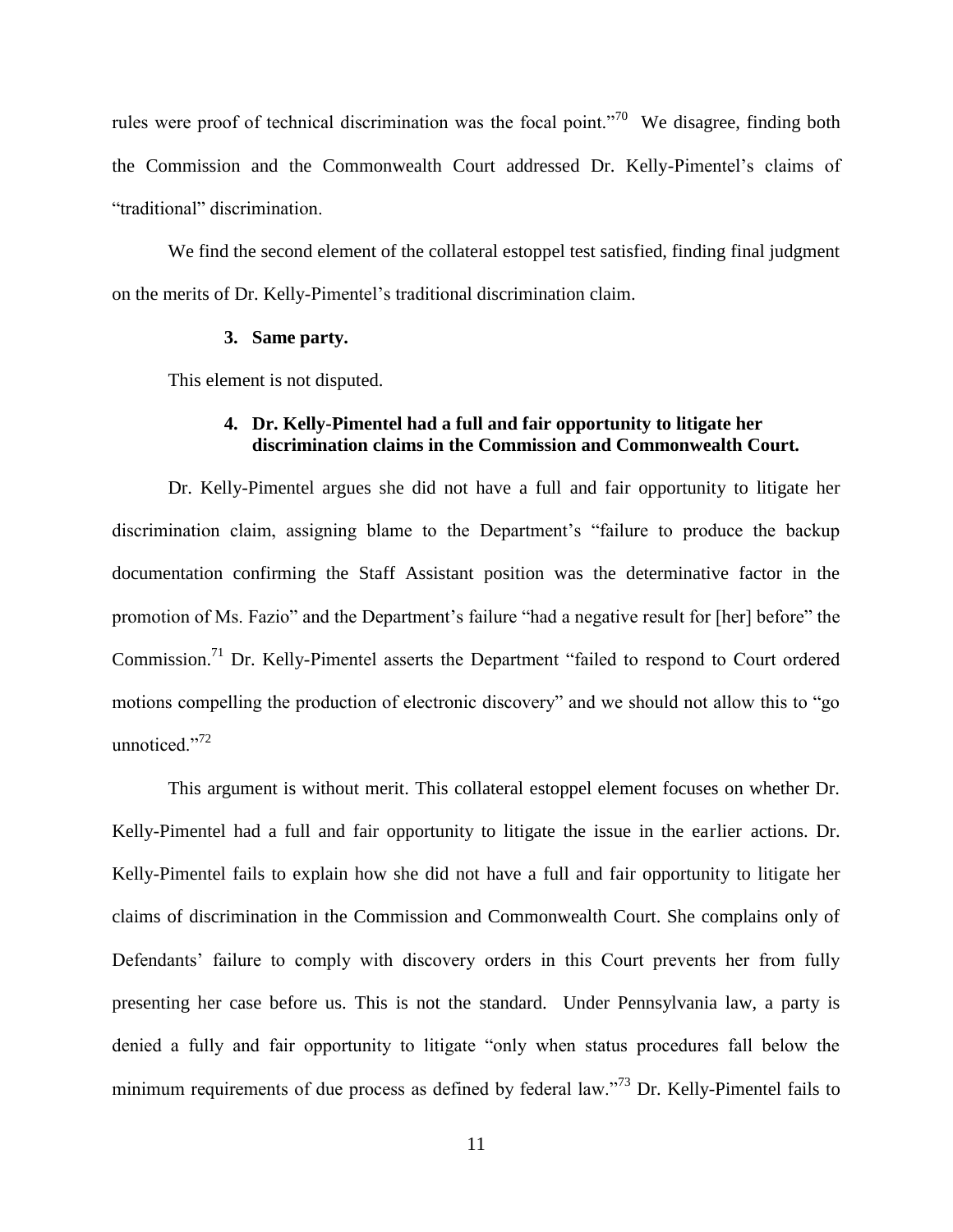rules were proof of technical discrimination was the focal point."<sup>70</sup> We disagree, finding both the Commission and the Commonwealth Court addressed Dr. Kelly-Pimentel's claims of "traditional" discrimination.

 We find the second element of the collateral estoppel test satisfied, finding final judgment on the merits of Dr. Kelly-Pimentel's traditional discrimination claim.

## **3. Same party.**

This element is not disputed.

## **4. Dr. Kelly-Pimentel had a full and fair opportunity to litigate her discrimination claims in the Commission and Commonwealth Court.**

 Dr. Kelly-Pimentel argues she did not have a full and fair opportunity to litigate her discrimination claim, assigning blame to the Department's "failure to produce the backup documentation confirming the Staff Assistant position was the determinative factor in the promotion of Ms. Fazio" and the Department's failure "had a negative result for [her] before" the Commission.<sup>71</sup> Dr. Kelly-Pimentel asserts the Department "failed to respond to Court ordered motions compelling the production of electronic discovery" and we should not allow this to "go unnoticed."<sup>72</sup>

 This argument is without merit. This collateral estoppel element focuses on whether Dr. Kelly-Pimentel had a full and fair opportunity to litigate the issue in the earlier actions. Dr. Kelly-Pimentel fails to explain how she did not have a full and fair opportunity to litigate her claims of discrimination in the Commission and Commonwealth Court. She complains only of Defendants' failure to comply with discovery orders in this Court prevents her from fully presenting her case before us. This is not the standard. Under Pennsylvania law, a party is denied a fully and fair opportunity to litigate "only when status procedures fall below the minimum requirements of due process as defined by federal law."<sup>73</sup> Dr. Kelly-Pimentel fails to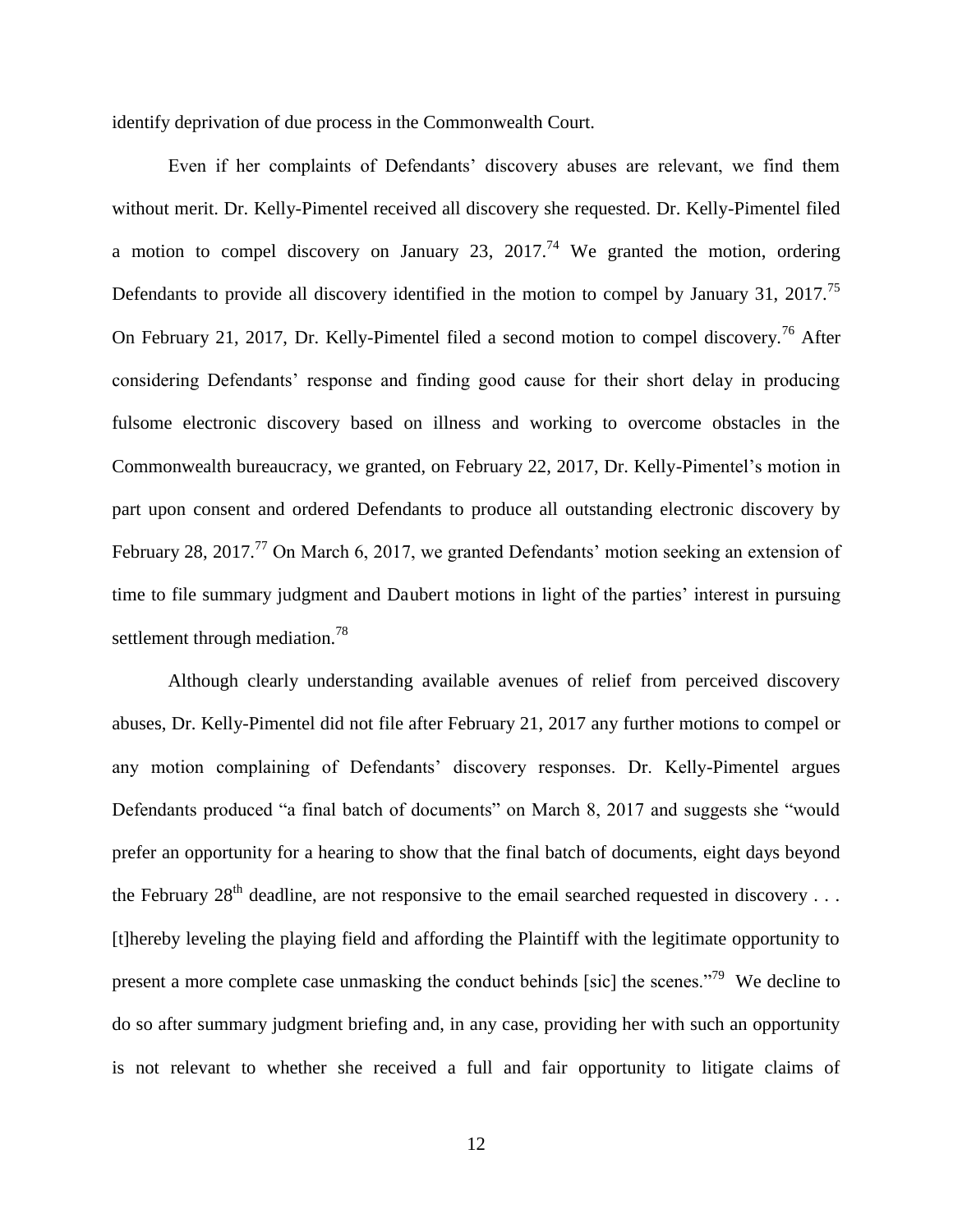identify deprivation of due process in the Commonwealth Court.

Even if her complaints of Defendants' discovery abuses are relevant, we find them without merit. Dr. Kelly-Pimentel received all discovery she requested. Dr. Kelly-Pimentel filed a motion to compel discovery on January 23, 2017.<sup>74</sup> We granted the motion, ordering Defendants to provide all discovery identified in the motion to compel by January 31, 2017.<sup>75</sup> On February 21, 2017, Dr. Kelly-Pimentel filed a second motion to compel discovery.<sup>76</sup> After considering Defendants' response and finding good cause for their short delay in producing fulsome electronic discovery based on illness and working to overcome obstacles in the Commonwealth bureaucracy, we granted, on February 22, 2017, Dr. Kelly-Pimentel's motion in part upon consent and ordered Defendants to produce all outstanding electronic discovery by February 28, 2017.<sup>77</sup> On March 6, 2017, we granted Defendants' motion seeking an extension of time to file summary judgment and Daubert motions in light of the parties' interest in pursuing settlement through mediation.<sup>78</sup>

 Although clearly understanding available avenues of relief from perceived discovery abuses, Dr. Kelly-Pimentel did not file after February 21, 2017 any further motions to compel or any motion complaining of Defendants' discovery responses. Dr. Kelly-Pimentel argues Defendants produced "a final batch of documents" on March 8, 2017 and suggests she "would prefer an opportunity for a hearing to show that the final batch of documents, eight days beyond the February  $28^{th}$  deadline, are not responsive to the email searched requested in discovery ... [t]hereby leveling the playing field and affording the Plaintiff with the legitimate opportunity to present a more complete case unmasking the conduct behinds [sic] the scenes."<sup>79</sup> We decline to do so after summary judgment briefing and, in any case, providing her with such an opportunity is not relevant to whether she received a full and fair opportunity to litigate claims of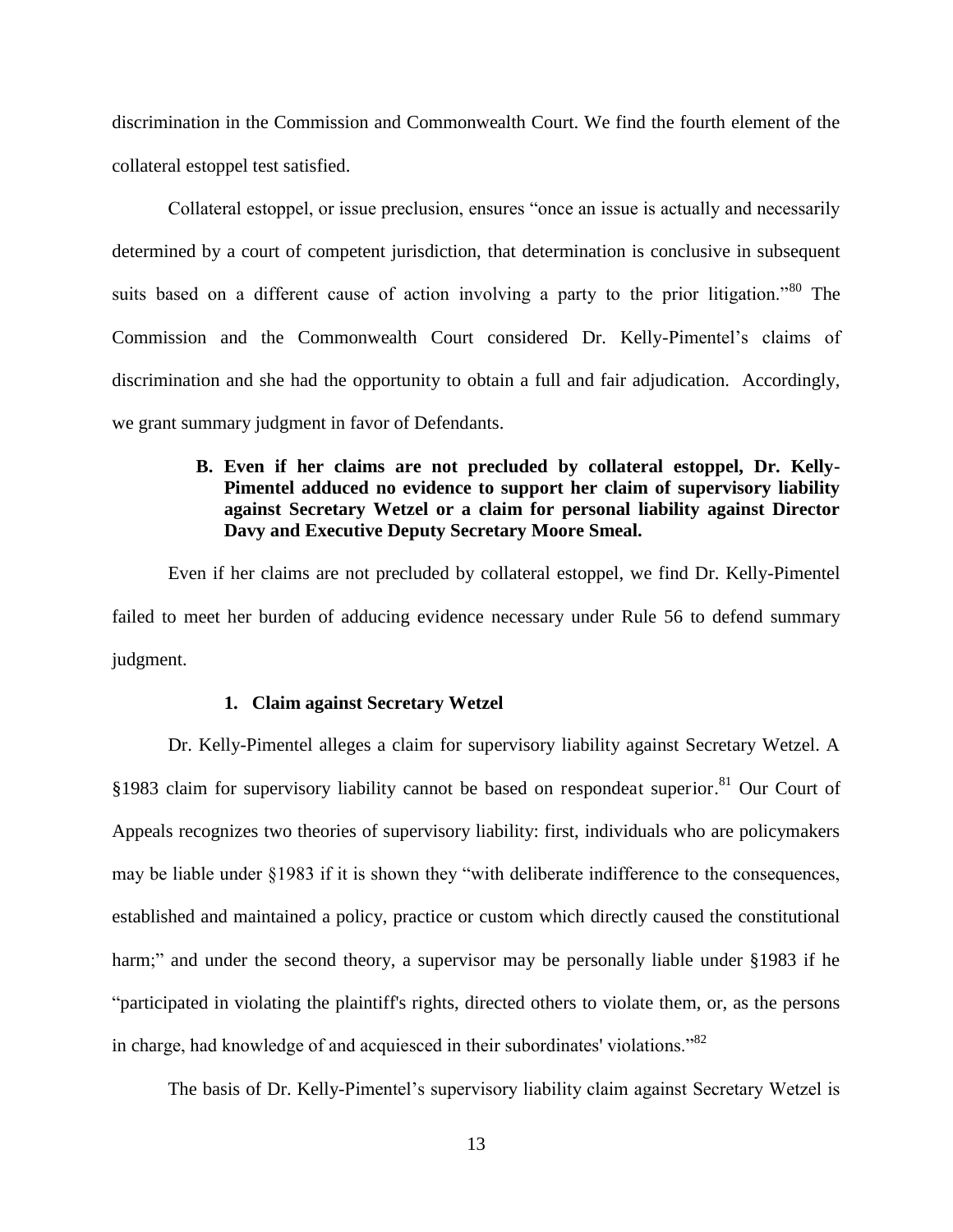discrimination in the Commission and Commonwealth Court. We find the fourth element of the collateral estoppel test satisfied.

Collateral estoppel, or issue preclusion, ensures "once an issue is actually and necessarily determined by a court of competent jurisdiction, that determination is conclusive in subsequent suits based on a different cause of action involving a party to the prior litigation."<sup>80</sup> The Commission and the Commonwealth Court considered Dr. Kelly-Pimentel's claims of discrimination and she had the opportunity to obtain a full and fair adjudication. Accordingly, we grant summary judgment in favor of Defendants.

## **B. Even if her claims are not precluded by collateral estoppel, Dr. Kelly-Pimentel adduced no evidence to support her claim of supervisory liability against Secretary Wetzel or a claim for personal liability against Director Davy and Executive Deputy Secretary Moore Smeal.**

 Even if her claims are not precluded by collateral estoppel, we find Dr. Kelly-Pimentel failed to meet her burden of adducing evidence necessary under Rule 56 to defend summary judgment.

#### **1. Claim against Secretary Wetzel**

 Dr. Kelly-Pimentel alleges a claim for supervisory liability against Secretary Wetzel. A §1983 claim for supervisory liability cannot be based on respondeat superior.<sup>81</sup> Our Court of Appeals recognizes two theories of supervisory liability: first, individuals who are policymakers may be liable under §1983 if it is shown they "with deliberate indifference to the consequences, established and maintained a policy, practice or custom which directly caused the constitutional harm;" and under the second theory, a supervisor may be personally liable under §1983 if he "participated in violating the plaintiff's rights, directed others to violate them, or, as the persons in charge, had knowledge of and acquiesced in their subordinates' violations."<sup>82</sup>

The basis of Dr. Kelly-Pimentel's supervisory liability claim against Secretary Wetzel is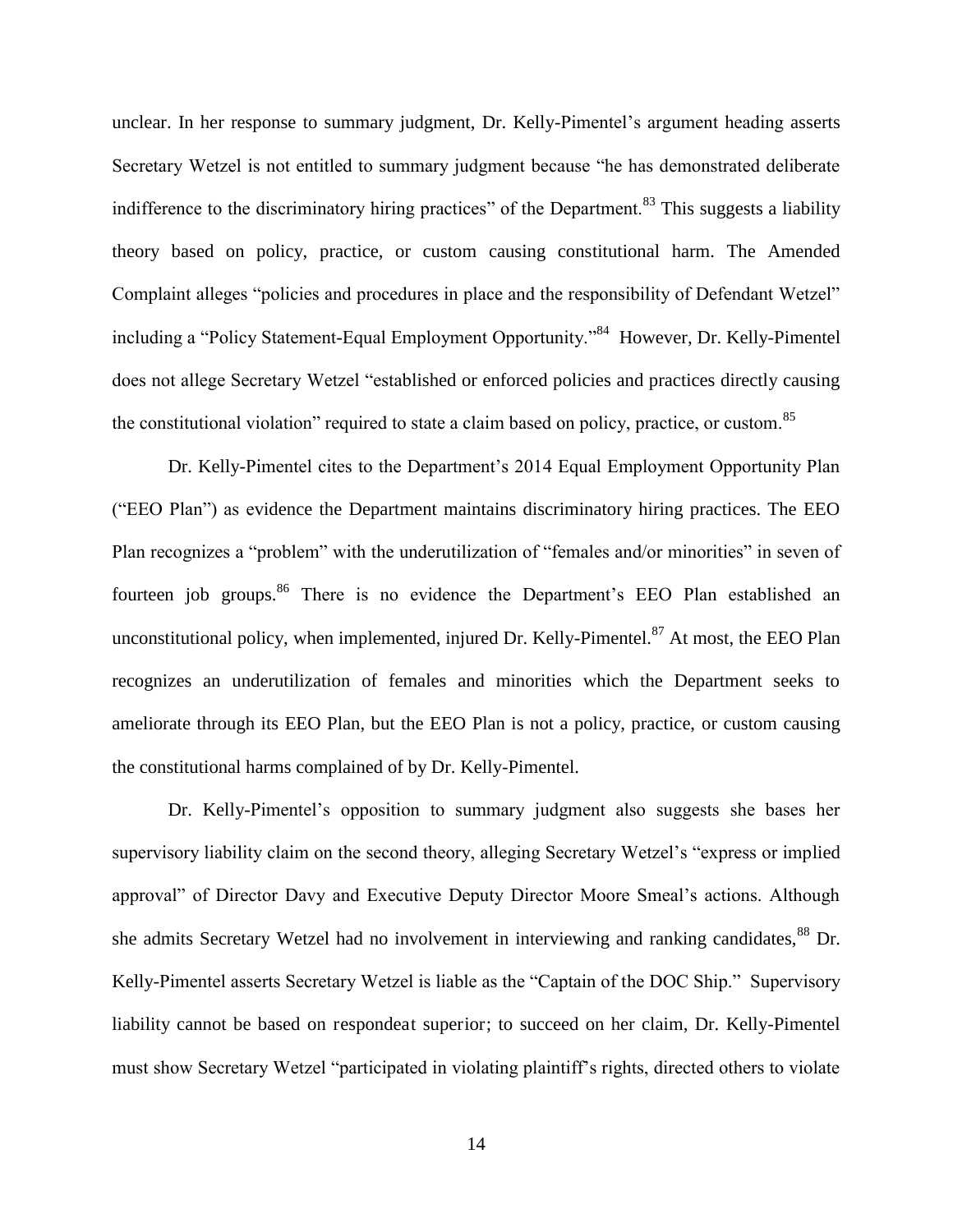unclear. In her response to summary judgment, Dr. Kelly-Pimentel's argument heading asserts Secretary Wetzel is not entitled to summary judgment because "he has demonstrated deliberate indifference to the discriminatory hiring practices" of the Department.<sup>83</sup> This suggests a liability theory based on policy, practice, or custom causing constitutional harm. The Amended Complaint alleges "policies and procedures in place and the responsibility of Defendant Wetzel" including a "Policy Statement-Equal Employment Opportunity."<sup>84</sup> However, Dr. Kelly-Pimentel does not allege Secretary Wetzel "established or enforced policies and practices directly causing the constitutional violation" required to state a claim based on policy, practice, or custom.<sup>85</sup>

 Dr. Kelly-Pimentel cites to the Department's 2014 Equal Employment Opportunity Plan ("EEO Plan") as evidence the Department maintains discriminatory hiring practices. The EEO Plan recognizes a "problem" with the underutilization of "females and/or minorities" in seven of fourteen job groups.<sup>86</sup> There is no evidence the Department's EEO Plan established an unconstitutional policy, when implemented, injured Dr. Kelly-Pimentel. $^{87}$  At most, the EEO Plan recognizes an underutilization of females and minorities which the Department seeks to ameliorate through its EEO Plan, but the EEO Plan is not a policy, practice, or custom causing the constitutional harms complained of by Dr. Kelly-Pimentel.

 Dr. Kelly-Pimentel's opposition to summary judgment also suggests she bases her supervisory liability claim on the second theory, alleging Secretary Wetzel's "express or implied approval" of Director Davy and Executive Deputy Director Moore Smeal's actions. Although she admits Secretary Wetzel had no involvement in interviewing and ranking candidates, <sup>88</sup> Dr. Kelly-Pimentel asserts Secretary Wetzel is liable as the "Captain of the DOC Ship." Supervisory liability cannot be based on respondeat superior; to succeed on her claim, Dr. Kelly-Pimentel must show Secretary Wetzel "participated in violating plaintiff's rights, directed others to violate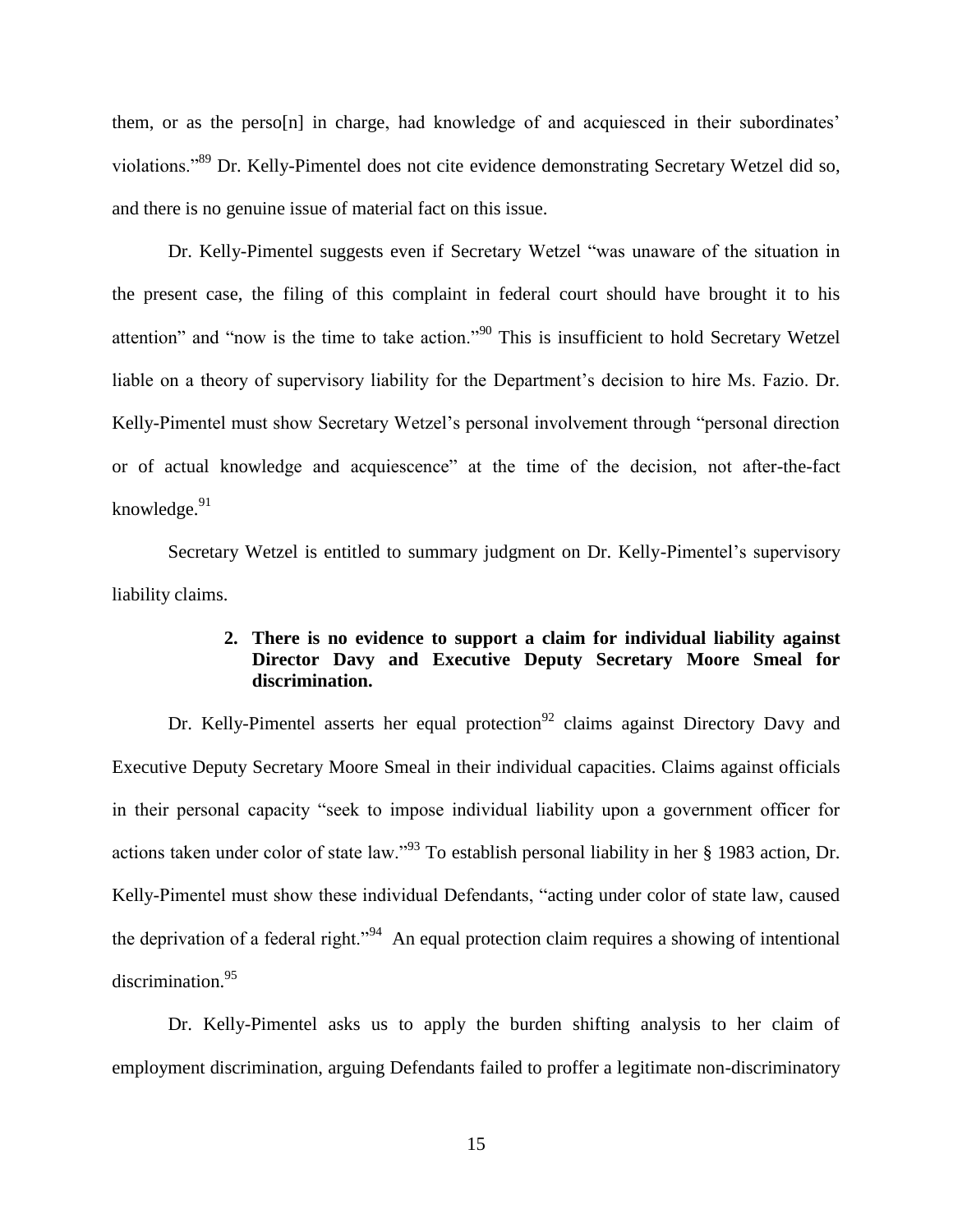them, or as the perso[n] in charge, had knowledge of and acquiesced in their subordinates' violations."<sup>89</sup> Dr. Kelly-Pimentel does not cite evidence demonstrating Secretary Wetzel did so, and there is no genuine issue of material fact on this issue.

 Dr. Kelly-Pimentel suggests even if Secretary Wetzel "was unaware of the situation in the present case, the filing of this complaint in federal court should have brought it to his attention" and "now is the time to take action."<sup>90</sup> This is insufficient to hold Secretary Wetzel liable on a theory of supervisory liability for the Department's decision to hire Ms. Fazio. Dr. Kelly-Pimentel must show Secretary Wetzel's personal involvement through "personal direction or of actual knowledge and acquiescence" at the time of the decision, not after-the-fact knowledge.<sup>91</sup>

 Secretary Wetzel is entitled to summary judgment on Dr. Kelly-Pimentel's supervisory liability claims.

## **2. There is no evidence to support a claim for individual liability against Director Davy and Executive Deputy Secretary Moore Smeal for discrimination.**

Dr. Kelly-Pimentel asserts her equal protection<sup>92</sup> claims against Directory Davy and Executive Deputy Secretary Moore Smeal in their individual capacities. Claims against officials in their personal capacity "seek to impose individual liability upon a government officer for actions taken under color of state law."<sup>93</sup> To establish personal liability in her § 1983 action, Dr. Kelly-Pimentel must show these individual Defendants, "acting under color of state law, caused the deprivation of a federal right."<sup>94</sup> An equal protection claim requires a showing of intentional discrimination.<sup>95</sup>

 Dr. Kelly-Pimentel asks us to apply the burden shifting analysis to her claim of employment discrimination, arguing Defendants failed to proffer a legitimate non-discriminatory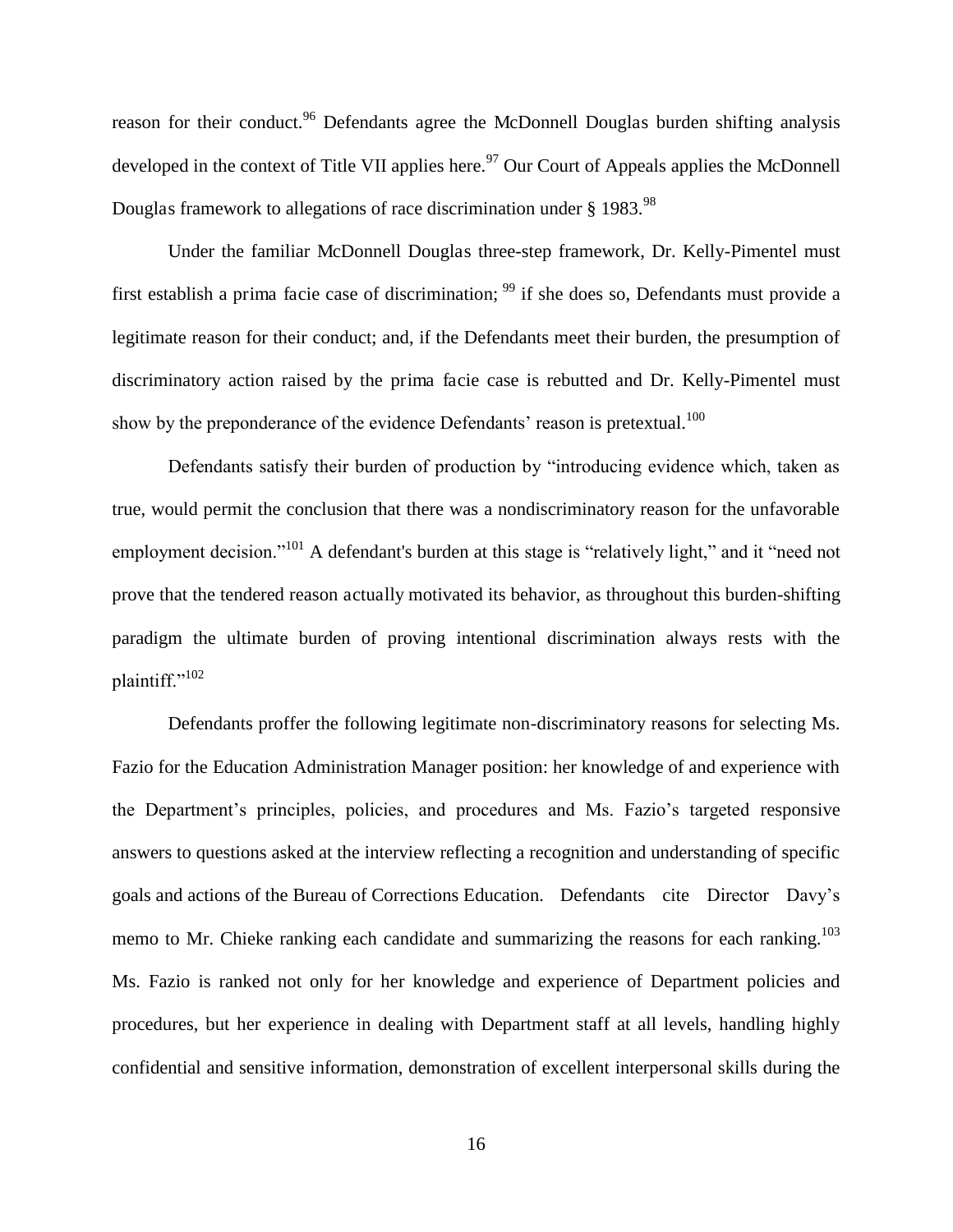reason for their conduct.<sup>96</sup> Defendants agree the McDonnell Douglas burden shifting analysis developed in the context of Title VII applies here.<sup>97</sup> Our Court of Appeals applies the McDonnell Douglas framework to allegations of race discrimination under § 1983.<sup>98</sup>

 Under the familiar McDonnell Douglas three-step framework, Dr. Kelly-Pimentel must first establish a prima facie case of discrimination;  $99$  if she does so, Defendants must provide a legitimate reason for their conduct; and, if the Defendants meet their burden, the presumption of discriminatory action raised by the prima facie case is rebutted and Dr. Kelly-Pimentel must show by the preponderance of the evidence Defendants' reason is pretextual.<sup>100</sup>

Defendants satisfy their burden of production by "introducing evidence which, taken as true, would permit the conclusion that there was a nondiscriminatory reason for the unfavorable employment decision."<sup>101</sup> A defendant's burden at this stage is "relatively light," and it "need not prove that the tendered reason actually motivated its behavior, as throughout this burden-shifting paradigm the ultimate burden of proving intentional discrimination always rests with the plaintiff."<sup>102</sup>

 Defendants proffer the following legitimate non-discriminatory reasons for selecting Ms. Fazio for the Education Administration Manager position: her knowledge of and experience with the Department's principles, policies, and procedures and Ms. Fazio's targeted responsive answers to questions asked at the interview reflecting a recognition and understanding of specific goals and actions of the Bureau of Corrections Education. Defendants cite Director Davy's memo to Mr. Chieke ranking each candidate and summarizing the reasons for each ranking.<sup>103</sup> Ms. Fazio is ranked not only for her knowledge and experience of Department policies and procedures, but her experience in dealing with Department staff at all levels, handling highly confidential and sensitive information, demonstration of excellent interpersonal skills during the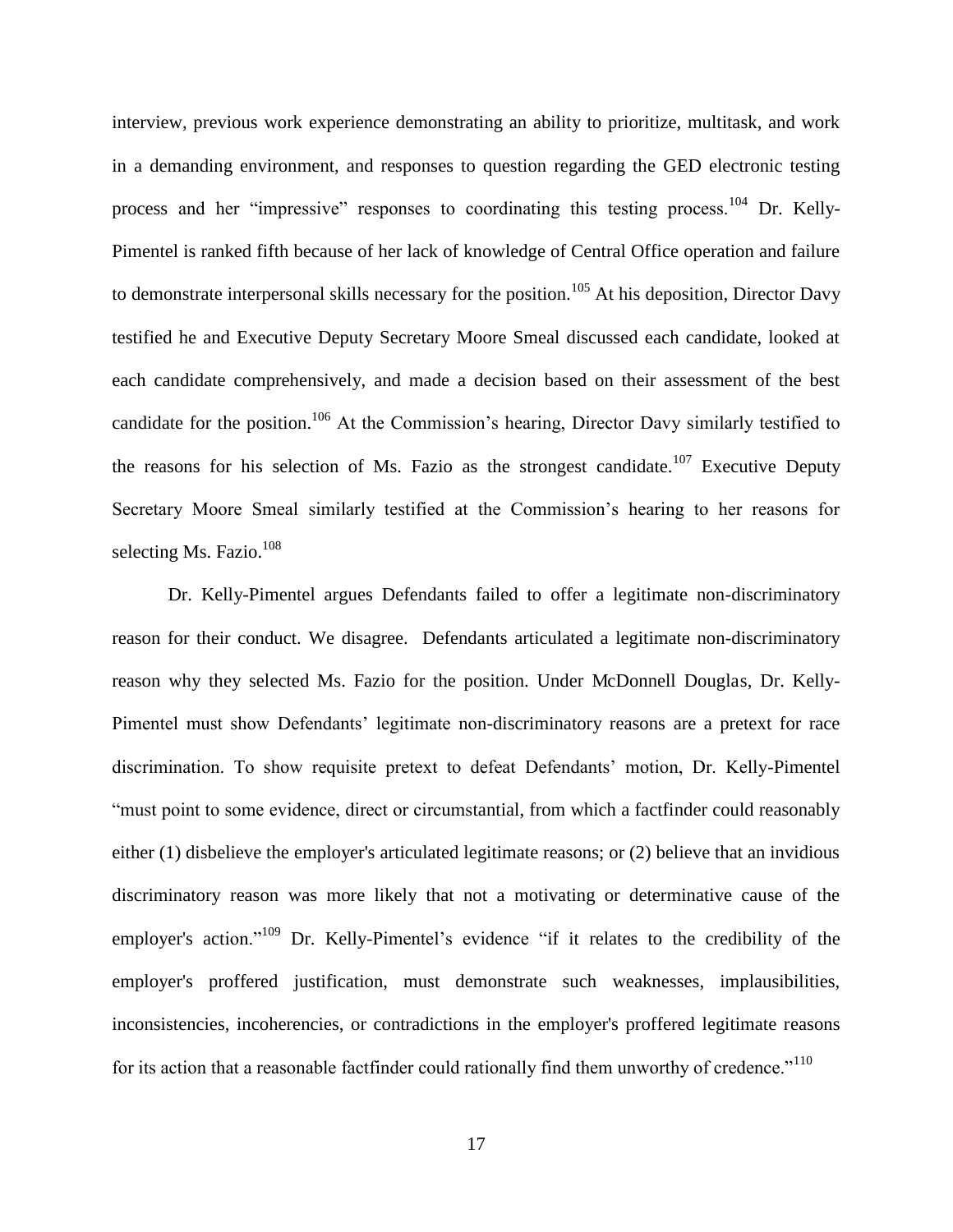interview, previous work experience demonstrating an ability to prioritize, multitask, and work in a demanding environment, and responses to question regarding the GED electronic testing process and her "impressive" responses to coordinating this testing process.<sup>104</sup> Dr. Kelly-Pimentel is ranked fifth because of her lack of knowledge of Central Office operation and failure to demonstrate interpersonal skills necessary for the position.<sup>105</sup> At his deposition, Director Davy testified he and Executive Deputy Secretary Moore Smeal discussed each candidate, looked at each candidate comprehensively, and made a decision based on their assessment of the best candidate for the position.<sup>106</sup> At the Commission's hearing, Director Davy similarly testified to the reasons for his selection of Ms. Fazio as the strongest candidate.<sup>107</sup> Executive Deputy Secretary Moore Smeal similarly testified at the Commission's hearing to her reasons for selecting Ms. Fazio.<sup>108</sup>

 Dr. Kelly-Pimentel argues Defendants failed to offer a legitimate non-discriminatory reason for their conduct. We disagree. Defendants articulated a legitimate non-discriminatory reason why they selected Ms. Fazio for the position. Under McDonnell Douglas, Dr. Kelly-Pimentel must show Defendants' legitimate non-discriminatory reasons are a pretext for race discrimination. To show requisite pretext to defeat Defendants' motion, Dr. Kelly-Pimentel "must point to some evidence, direct or circumstantial, from which a factfinder could reasonably either (1) disbelieve the employer's articulated legitimate reasons; or (2) believe that an invidious discriminatory reason was more likely that not a motivating or determinative cause of the employer's action."<sup>109</sup> Dr. Kelly-Pimentel's evidence "if it relates to the credibility of the employer's proffered justification, must demonstrate such weaknesses, implausibilities, inconsistencies, incoherencies, or contradictions in the employer's proffered legitimate reasons for its action that a reasonable factfinder could rationally find them unworthy of credence."<sup>110</sup>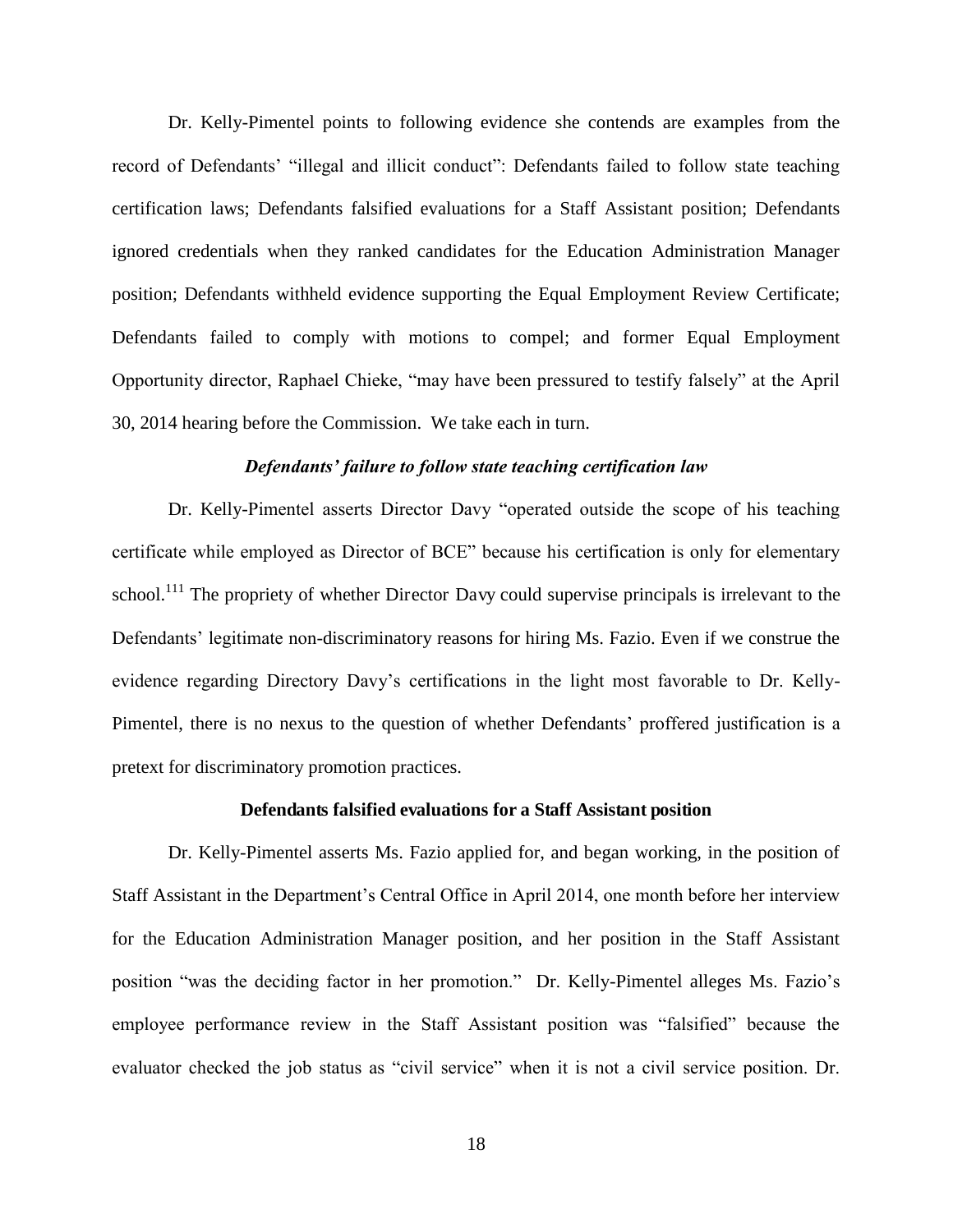Dr. Kelly-Pimentel points to following evidence she contends are examples from the record of Defendants' "illegal and illicit conduct": Defendants failed to follow state teaching certification laws; Defendants falsified evaluations for a Staff Assistant position; Defendants ignored credentials when they ranked candidates for the Education Administration Manager position; Defendants withheld evidence supporting the Equal Employment Review Certificate; Defendants failed to comply with motions to compel; and former Equal Employment Opportunity director, Raphael Chieke, "may have been pressured to testify falsely" at the April 30, 2014 hearing before the Commission. We take each in turn.

#### *Defendants' failure to follow state teaching certification law*

 Dr. Kelly-Pimentel asserts Director Davy "operated outside the scope of his teaching certificate while employed as Director of BCE" because his certification is only for elementary school.<sup>111</sup> The propriety of whether Director Davy could supervise principals is irrelevant to the Defendants' legitimate non-discriminatory reasons for hiring Ms. Fazio. Even if we construe the evidence regarding Directory Davy's certifications in the light most favorable to Dr. Kelly-Pimentel, there is no nexus to the question of whether Defendants' proffered justification is a pretext for discriminatory promotion practices.

#### **Defendants falsified evaluations for a Staff Assistant position**

 Dr. Kelly-Pimentel asserts Ms. Fazio applied for, and began working, in the position of Staff Assistant in the Department's Central Office in April 2014, one month before her interview for the Education Administration Manager position, and her position in the Staff Assistant position "was the deciding factor in her promotion." Dr. Kelly-Pimentel alleges Ms. Fazio's employee performance review in the Staff Assistant position was "falsified" because the evaluator checked the job status as "civil service" when it is not a civil service position. Dr.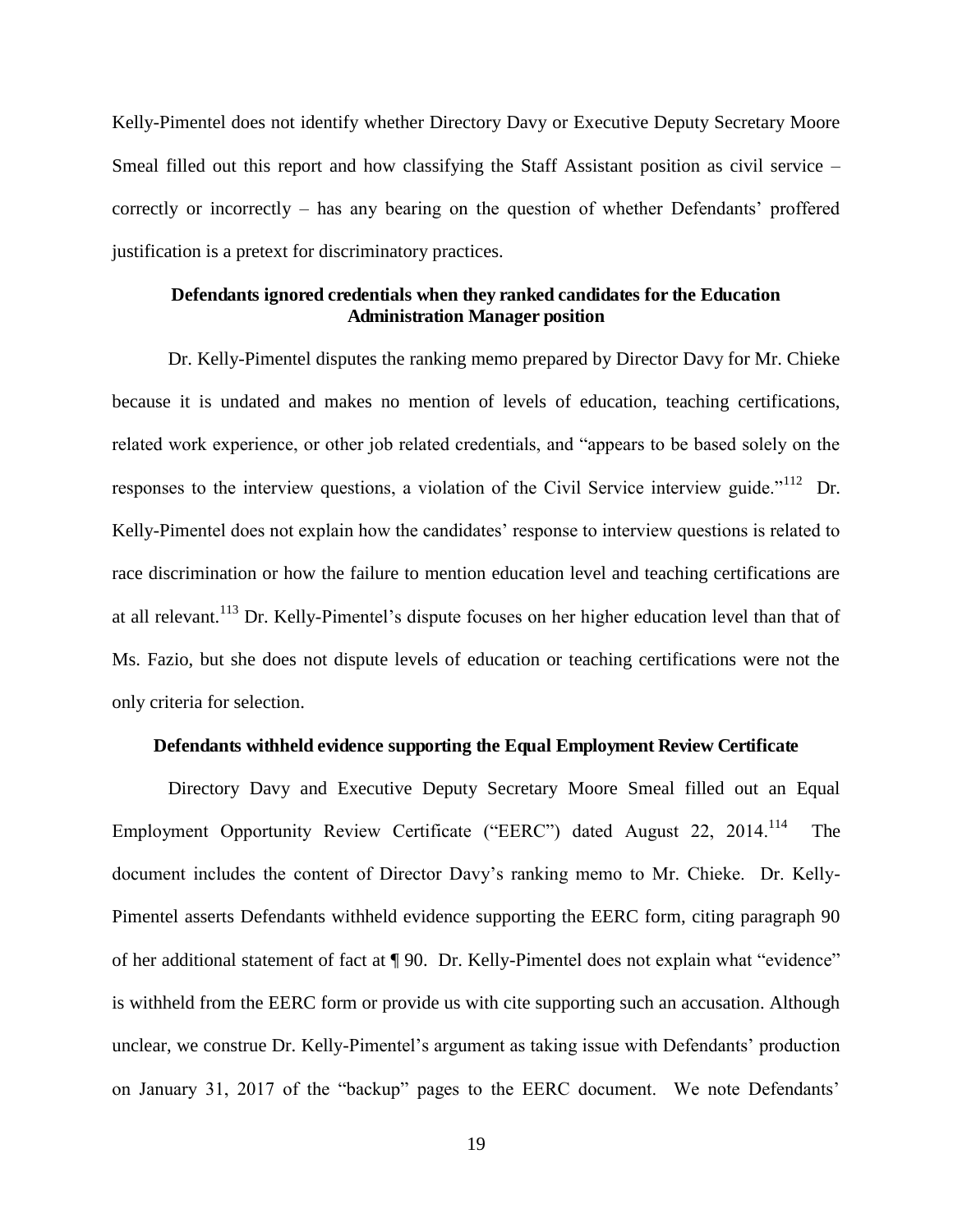Kelly-Pimentel does not identify whether Directory Davy or Executive Deputy Secretary Moore Smeal filled out this report and how classifying the Staff Assistant position as civil service – correctly or incorrectly – has any bearing on the question of whether Defendants' proffered justification is a pretext for discriminatory practices.

## **Defendants ignored credentials when they ranked candidates for the Education Administration Manager position**

 Dr. Kelly-Pimentel disputes the ranking memo prepared by Director Davy for Mr. Chieke because it is undated and makes no mention of levels of education, teaching certifications, related work experience, or other job related credentials, and "appears to be based solely on the responses to the interview questions, a violation of the Civil Service interview guide."<sup>112</sup> Dr. Kelly-Pimentel does not explain how the candidates' response to interview questions is related to race discrimination or how the failure to mention education level and teaching certifications are at all relevant.<sup>113</sup> Dr. Kelly-Pimentel's dispute focuses on her higher education level than that of Ms. Fazio, but she does not dispute levels of education or teaching certifications were not the only criteria for selection.

#### **Defendants withheld evidence supporting the Equal Employment Review Certificate**

 Directory Davy and Executive Deputy Secretary Moore Smeal filled out an Equal Employment Opportunity Review Certificate ("EERC") dated August 22, 2014.<sup>114</sup> The document includes the content of Director Davy's ranking memo to Mr. Chieke. Dr. Kelly-Pimentel asserts Defendants withheld evidence supporting the EERC form, citing paragraph 90 of her additional statement of fact at ¶ 90. Dr. Kelly-Pimentel does not explain what "evidence" is withheld from the EERC form or provide us with cite supporting such an accusation. Although unclear, we construe Dr. Kelly-Pimentel's argument as taking issue with Defendants' production on January 31, 2017 of the "backup" pages to the EERC document. We note Defendants'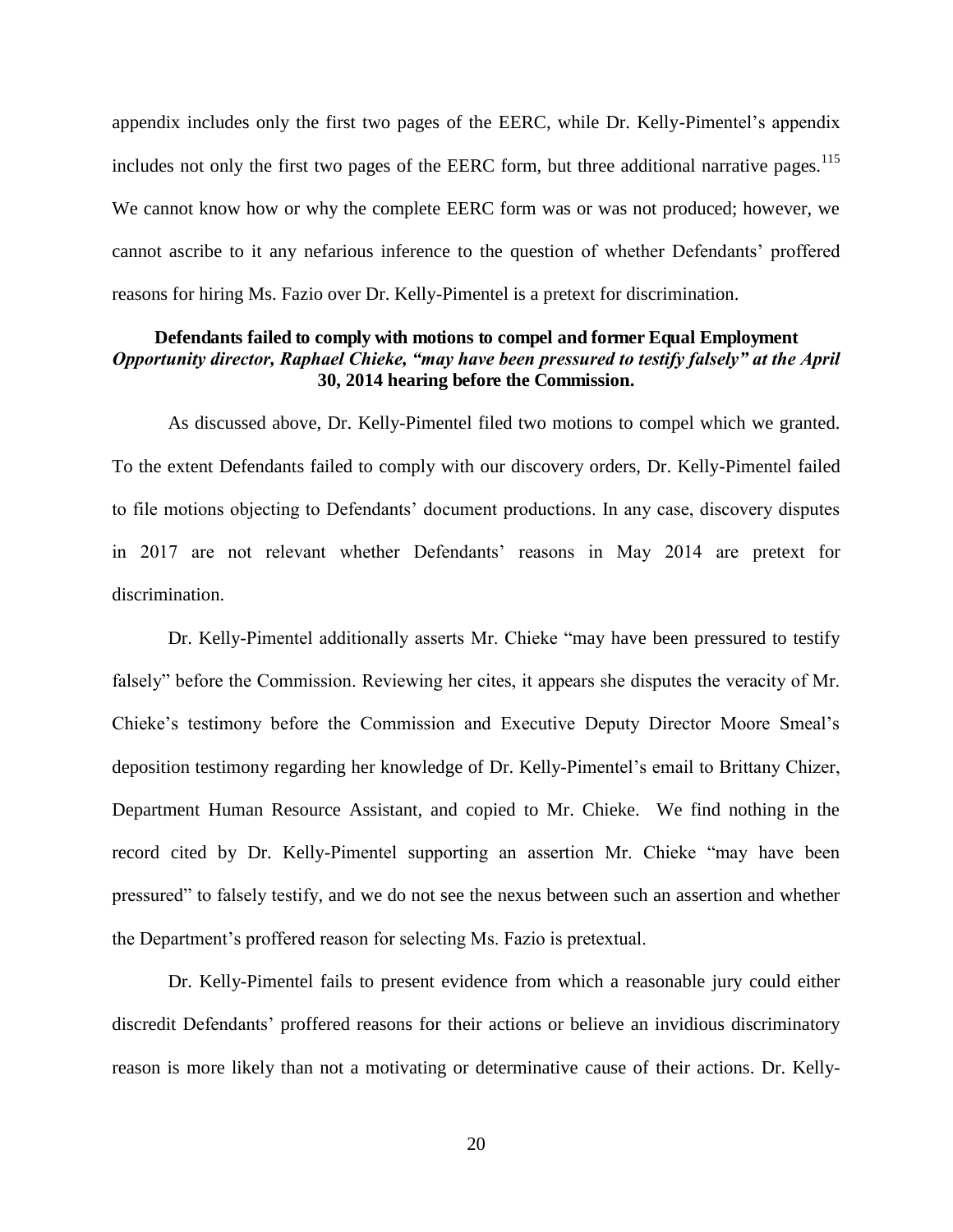appendix includes only the first two pages of the EERC, while Dr. Kelly-Pimentel's appendix includes not only the first two pages of the EERC form, but three additional narrative pages.<sup>115</sup> We cannot know how or why the complete EERC form was or was not produced; however, we cannot ascribe to it any nefarious inference to the question of whether Defendants' proffered reasons for hiring Ms. Fazio over Dr. Kelly-Pimentel is a pretext for discrimination.

## **Defendants failed to comply with motions to compel and former Equal Employment**  *Opportunity director, Raphael Chieke, "may have been pressured to testify falsely" at the April*  **30, 2014 hearing before the Commission.**

 As discussed above, Dr. Kelly-Pimentel filed two motions to compel which we granted. To the extent Defendants failed to comply with our discovery orders, Dr. Kelly-Pimentel failed to file motions objecting to Defendants' document productions. In any case, discovery disputes in 2017 are not relevant whether Defendants' reasons in May 2014 are pretext for discrimination.

 Dr. Kelly-Pimentel additionally asserts Mr. Chieke "may have been pressured to testify falsely" before the Commission. Reviewing her cites, it appears she disputes the veracity of Mr. Chieke's testimony before the Commission and Executive Deputy Director Moore Smeal's deposition testimony regarding her knowledge of Dr. Kelly-Pimentel's email to Brittany Chizer, Department Human Resource Assistant, and copied to Mr. Chieke. We find nothing in the record cited by Dr. Kelly-Pimentel supporting an assertion Mr. Chieke "may have been pressured" to falsely testify, and we do not see the nexus between such an assertion and whether the Department's proffered reason for selecting Ms. Fazio is pretextual.

 Dr. Kelly-Pimentel fails to present evidence from which a reasonable jury could either discredit Defendants' proffered reasons for their actions or believe an invidious discriminatory reason is more likely than not a motivating or determinative cause of their actions. Dr. Kelly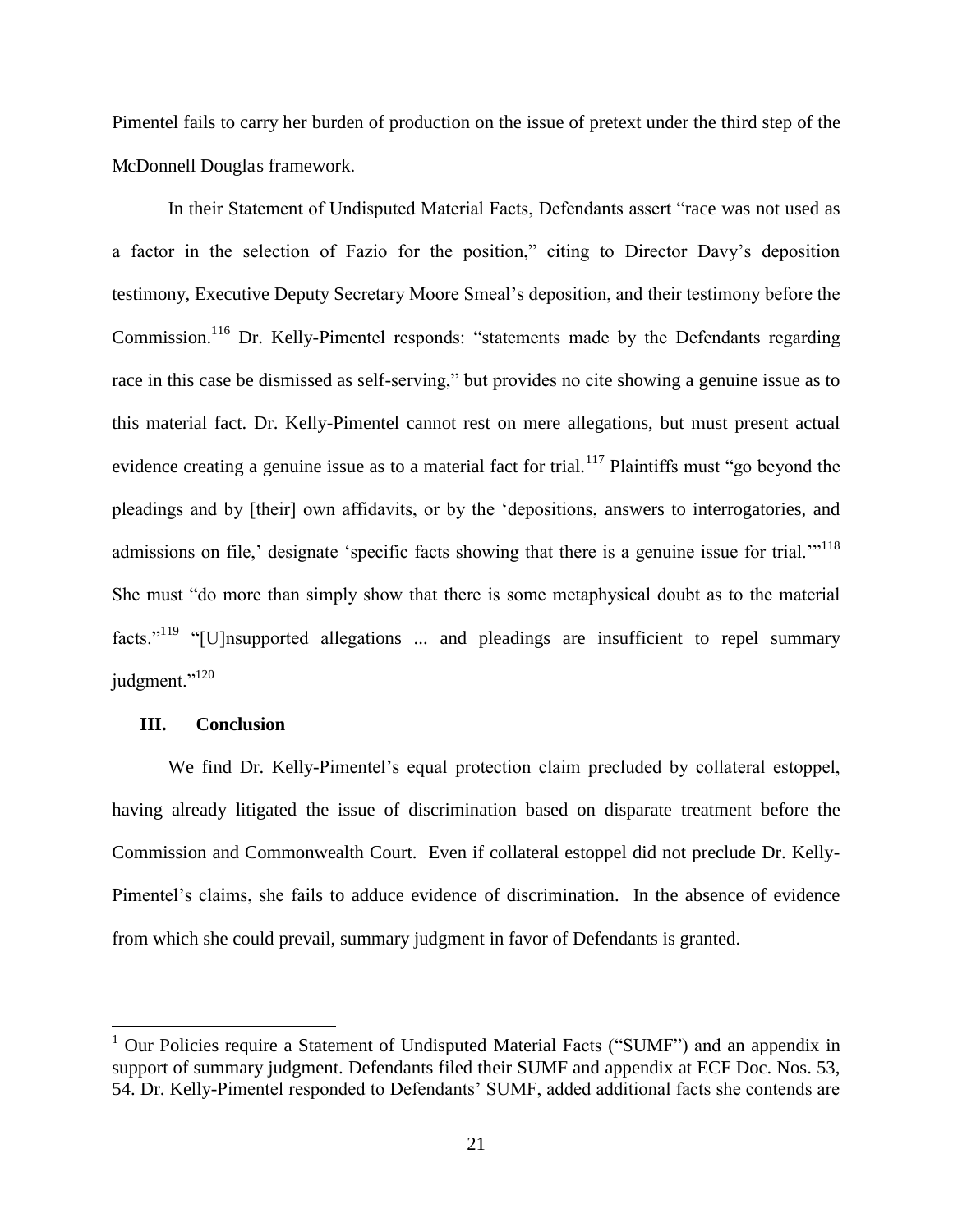Pimentel fails to carry her burden of production on the issue of pretext under the third step of the McDonnell Douglas framework.

 In their Statement of Undisputed Material Facts, Defendants assert "race was not used as a factor in the selection of Fazio for the position," citing to Director Davy's deposition testimony, Executive Deputy Secretary Moore Smeal's deposition, and their testimony before the Commission.<sup>116</sup> Dr. Kelly-Pimentel responds: "statements made by the Defendants regarding race in this case be dismissed as self-serving," but provides no cite showing a genuine issue as to this material fact. Dr. Kelly-Pimentel cannot rest on mere allegations, but must present actual evidence creating a genuine issue as to a material fact for trial.<sup>117</sup> Plaintiffs must "go beyond the pleadings and by [their] own affidavits, or by the 'depositions, answers to interrogatories, and admissions on file,' designate 'specific facts showing that there is a genuine issue for trial.'"<sup>118</sup> She must "do more than simply show that there is some metaphysical doubt as to the material facts."<sup>119</sup> "[U]nsupported allegations ... and pleadings are insufficient to repel summary judgment."<sup>120</sup>

#### **III. Conclusion**

We find Dr. Kelly-Pimentel's equal protection claim precluded by collateral estoppel, having already litigated the issue of discrimination based on disparate treatment before the Commission and Commonwealth Court. Even if collateral estoppel did not preclude Dr. Kelly-Pimentel's claims, she fails to adduce evidence of discrimination. In the absence of evidence from which she could prevail, summary judgment in favor of Defendants is granted.

<sup>&</sup>lt;sup>1</sup> Our Policies require a Statement of Undisputed Material Facts ("SUMF") and an appendix in support of summary judgment. Defendants filed their SUMF and appendix at ECF Doc. Nos. 53, 54. Dr. Kelly-Pimentel responded to Defendants' SUMF, added additional facts she contends are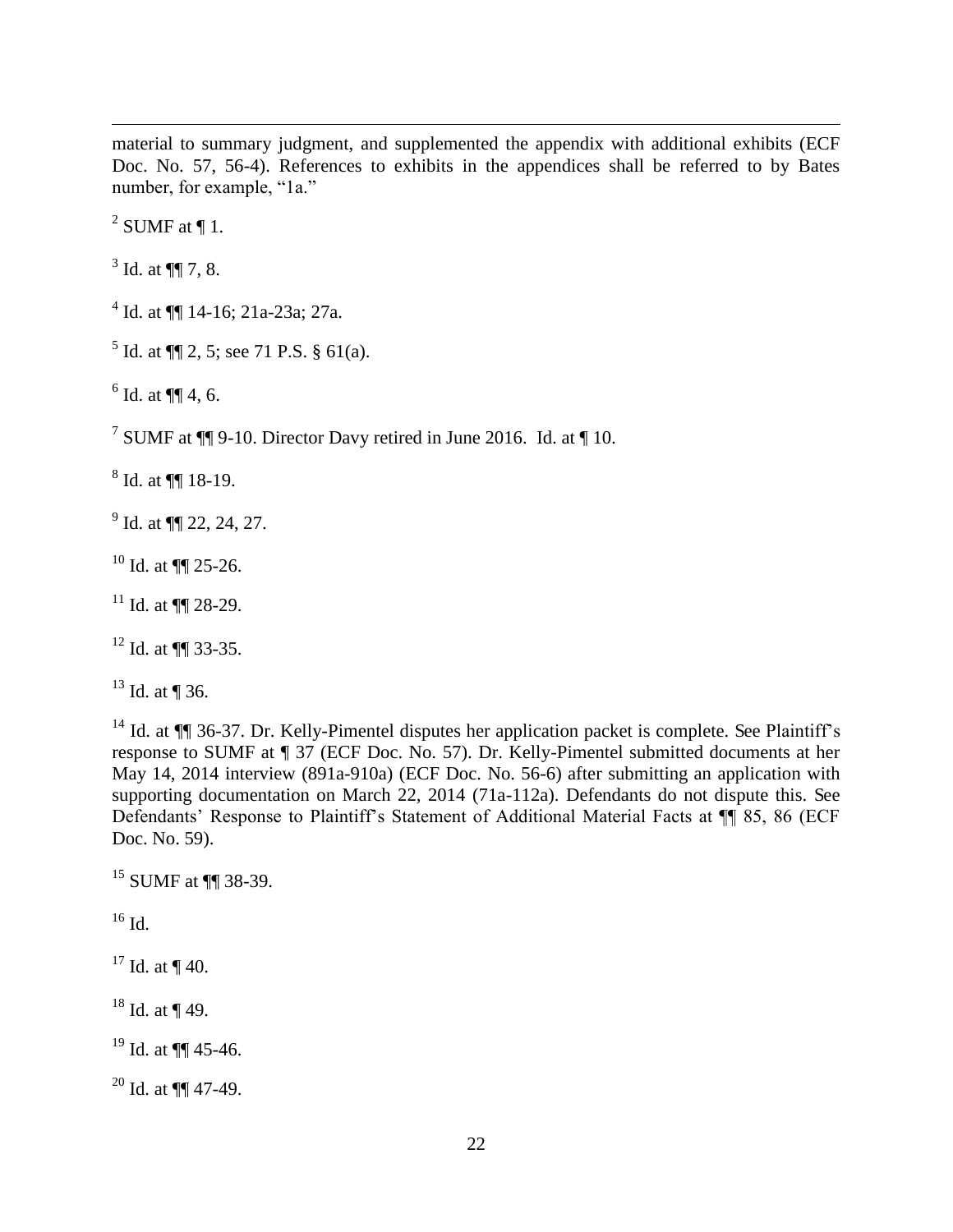material to summary judgment, and supplemented the appendix with additional exhibits (ECF Doc. No. 57, 56-4). References to exhibits in the appendices shall be referred to by Bates number, for example, "1a."

 $2$  SUMF at ¶ 1.

 $3$  Id. at  $\P$  7, 8.

<sup>4</sup> Id. at  $\P\P$  14-16; 21a-23a; 27a.

<sup>5</sup> Id. at  $\P$  2, 5; see 71 P.S. § 61(a).

 $6$  Id. at  $\P\P$  4, 6.

<sup>7</sup> SUMF at  $\P$  9-10. Director Davy retired in June 2016. Id. at  $\P$  10.

 $8$  Id. at  $\P$  18-19.

 $^{9}$  Id. at  $\P$  22, 24, 27.

<sup>10</sup> Id. at  $\P\P$  25-26.

<sup>11</sup> Id. at  $\P\P$  28-29.

<sup>12</sup> Id. at ¶¶ 33-35.

 $13$  Id. at ¶ 36.

<sup>14</sup> Id. at ¶¶ 36-37. Dr. Kelly-Pimentel disputes her application packet is complete. See Plaintiff's response to SUMF at ¶ 37 (ECF Doc. No. 57). Dr. Kelly-Pimentel submitted documents at her May 14, 2014 interview (891a-910a) (ECF Doc. No. 56-6) after submitting an application with supporting documentation on March 22, 2014 (71a-112a). Defendants do not dispute this. See Defendants' Response to Plaintiff's Statement of Additional Material Facts at ¶¶ 85, 86 (ECF Doc. No. 59).

<sup>15</sup> SUMF at ¶¶ 38-39.

 $^{16}$  Id.

 $17$  Id. at ¶ 40.

 $18$  Id. at ¶ 49.

 $19$  Id. at  $\P\P$  45-46.

 $20$  Id. at  $\P\P$  47-49.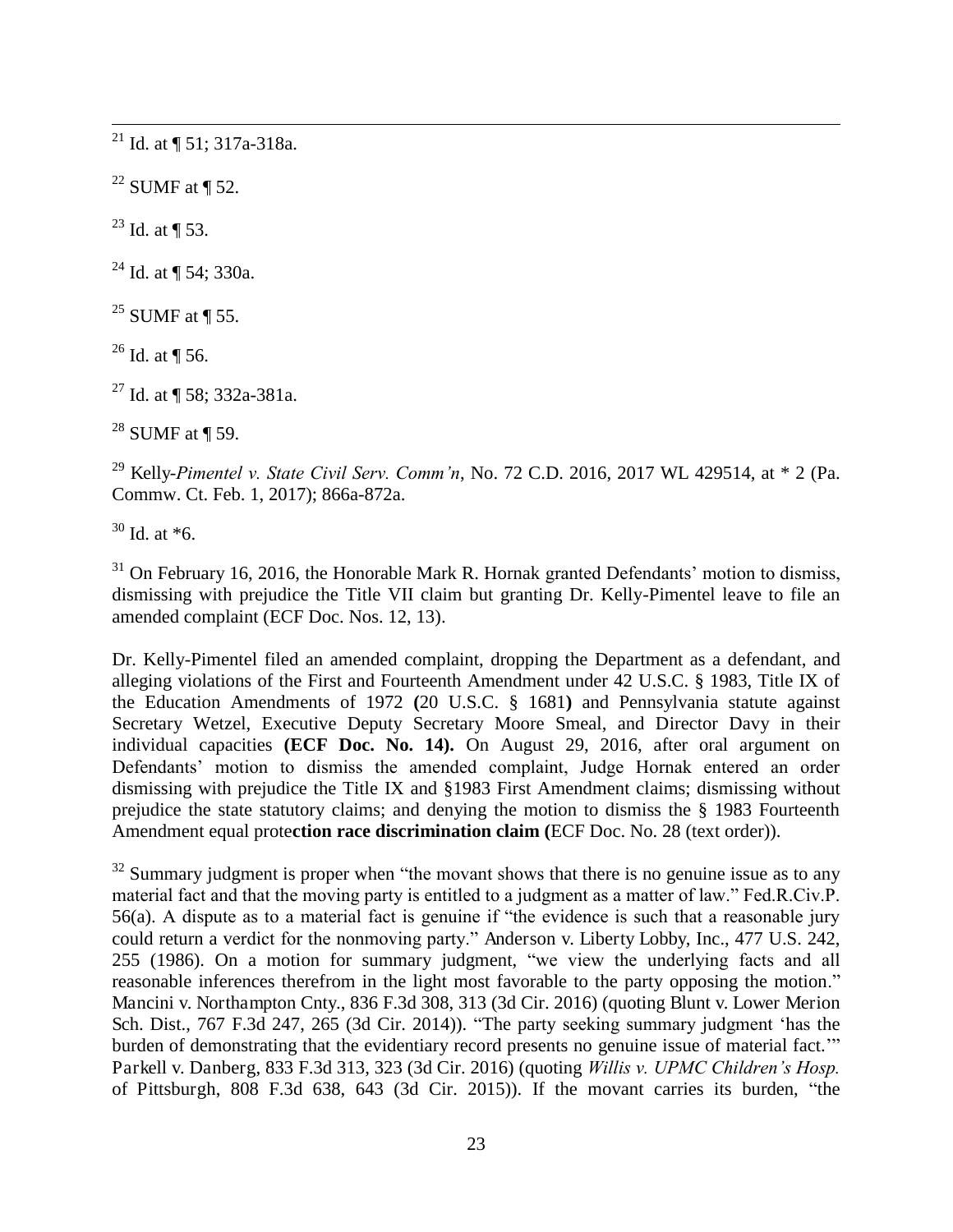<sup>21</sup> Id. at  $\P$  51; 317a-318a.

 $22$  SUMF at ¶ 52.

 $^{23}$  Id. at ¶ 53.

<sup>24</sup> Id. at  $\P$  54; 330a.

 $^{25}$  SUMF at ¶ 55.

 $26$  Id. at ¶ 56.

<sup>27</sup> Id. at ¶ 58; 332a-381a.

 $28$  SUMF at ¶ 59.

<sup>29</sup> Kelly-*Pimentel v. State Civil Serv. Comm'n*, No. 72 C.D. 2016, 2017 WL 429514, at \* 2 (Pa. Commw. Ct. Feb. 1, 2017); 866a-872a.

 $30$  Id. at  $*6$ .

 $31$  On February 16, 2016, the Honorable Mark R. Hornak granted Defendants' motion to dismiss, dismissing with prejudice the Title VII claim but granting Dr. Kelly-Pimentel leave to file an amended complaint (ECF Doc. Nos. 12, 13).

Dr. Kelly-Pimentel filed an amended complaint, dropping the Department as a defendant, and alleging violations of the First and Fourteenth Amendment under 42 U.S.C. § 1983, Title IX of the Education Amendments of 1972 **(**20 U.S.C. § 1681**)** and Pennsylvania statute against Secretary Wetzel, Executive Deputy Secretary Moore Smeal, and Director Davy in their individual capacities **(ECF Doc. No. 14).** On August 29, 2016, after oral argument on Defendants' motion to dismiss the amended complaint, Judge Hornak entered an order dismissing with prejudice the Title IX and §1983 First Amendment claims; dismissing without prejudice the state statutory claims; and denying the motion to dismiss the § 1983 Fourteenth Amendment equal prote**ction race discrimination claim (**ECF Doc. No. 28 (text order)).

 $32$  Summary judgment is proper when "the movant shows that there is no genuine issue as to any material fact and that the moving party is entitled to a judgment as a matter of law." Fed.R.Civ.P. 56(a). A dispute as to a material fact is genuine if "the evidence is such that a reasonable jury could return a verdict for the nonmoving party." Anderson v. Liberty Lobby, Inc., 477 U.S. 242, 255 (1986). On a motion for summary judgment, "we view the underlying facts and all reasonable inferences therefrom in the light most favorable to the party opposing the motion." Mancini v. Northampton Cnty., 836 F.3d 308, 313 (3d Cir. 2016) (quoting Blunt v. Lower Merion Sch. Dist., 767 F.3d 247, 265 (3d Cir. 2014)). "The party seeking summary judgment 'has the burden of demonstrating that the evidentiary record presents no genuine issue of material fact.'" Parkell v. Danberg, 833 F.3d 313, 323 (3d Cir. 2016) (quoting *Willis v. UPMC Children's Hosp.*  of Pittsburgh, 808 F.3d 638, 643 (3d Cir. 2015)). If the movant carries its burden, "the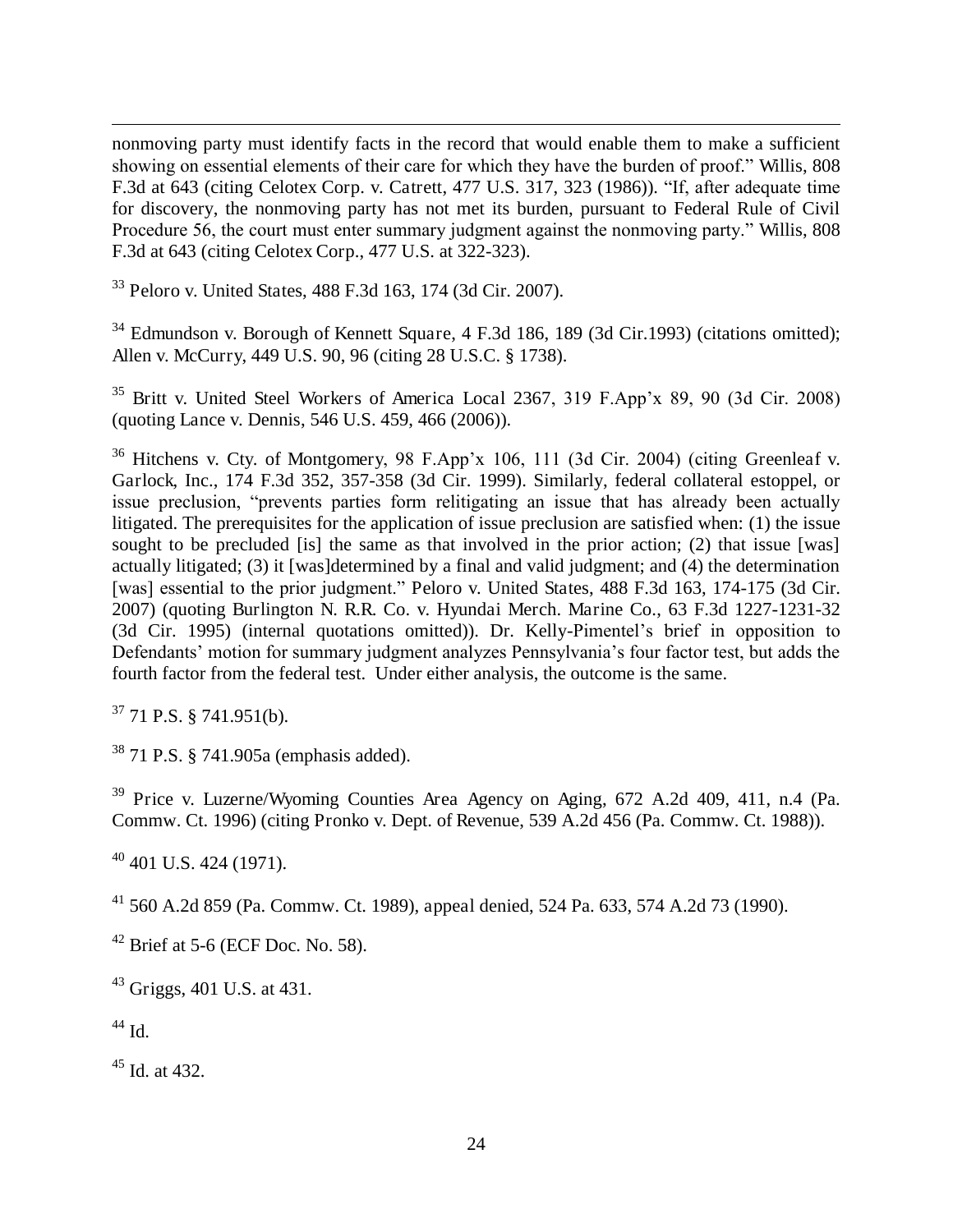nonmoving party must identify facts in the record that would enable them to make a sufficient showing on essential elements of their care for which they have the burden of proof." Willis, 808 F.3d at 643 (citing Celotex Corp. v. Catrett, 477 U.S. 317, 323 (1986)). "If, after adequate time for discovery, the nonmoving party has not met its burden, pursuant to Federal Rule of Civil Procedure 56, the court must enter summary judgment against the nonmoving party." Willis, 808 F.3d at 643 (citing Celotex Corp., 477 U.S. at 322-323).

<sup>33</sup> Peloro v. United States, 488 F.3d 163, 174 (3d Cir. 2007).

<sup>34</sup> Edmundson v. Borough of Kennett Square, 4 F.3d 186, 189 (3d Cir.1993) (citations omitted); Allen v. McCurry, 449 U.S. 90, 96 (citing 28 U.S.C. § 1738).

<sup>35</sup> Britt v. United Steel Workers of America Local 2367, 319 F.App'x 89, 90 (3d Cir. 2008) (quoting Lance v. Dennis, 546 U.S. 459, 466 (2006)).

<sup>36</sup> Hitchens v. Cty. of Montgomery, 98 F.App'x 106, 111 (3d Cir. 2004) (citing Greenleaf v. Garlock, Inc., 174 F.3d 352, 357-358 (3d Cir. 1999). Similarly, federal collateral estoppel, or issue preclusion, "prevents parties form relitigating an issue that has already been actually litigated. The prerequisites for the application of issue preclusion are satisfied when: (1) the issue sought to be precluded [is] the same as that involved in the prior action; (2) that issue [was] actually litigated; (3) it [was]determined by a final and valid judgment; and (4) the determination [was] essential to the prior judgment." Peloro v. United States, 488 F.3d 163, 174-175 (3d Cir. 2007) (quoting Burlington N. R.R. Co. v. Hyundai Merch. Marine Co., 63 F.3d 1227-1231-32 (3d Cir. 1995) (internal quotations omitted)). Dr. Kelly-Pimentel's brief in opposition to Defendants' motion for summary judgment analyzes Pennsylvania's four factor test, but adds the fourth factor from the federal test. Under either analysis, the outcome is the same.

 $37$  71 P.S. § 741.951(b).

<sup>38</sup> 71 P.S. § 741.905a (emphasis added).

<sup>39</sup> Price v. Luzerne/Wyoming Counties Area Agency on Aging, 672 A.2d 409, 411, n.4 (Pa. Commw. Ct. 1996) (citing Pronko v. Dept. of Revenue, 539 A.2d 456 (Pa. Commw. Ct. 1988)).

 $40$  401 U.S. 424 (1971).

<sup>41</sup> 560 A.2d 859 (Pa. Commw. Ct. 1989), appeal denied, 524 Pa. 633, 574 A.2d 73 (1990).

 $42$  Brief at 5-6 (ECF Doc. No. 58).

<sup>43</sup> Griggs, 401 U.S. at 431.

<sup>44</sup> Id.

 $45$  Id. at 432.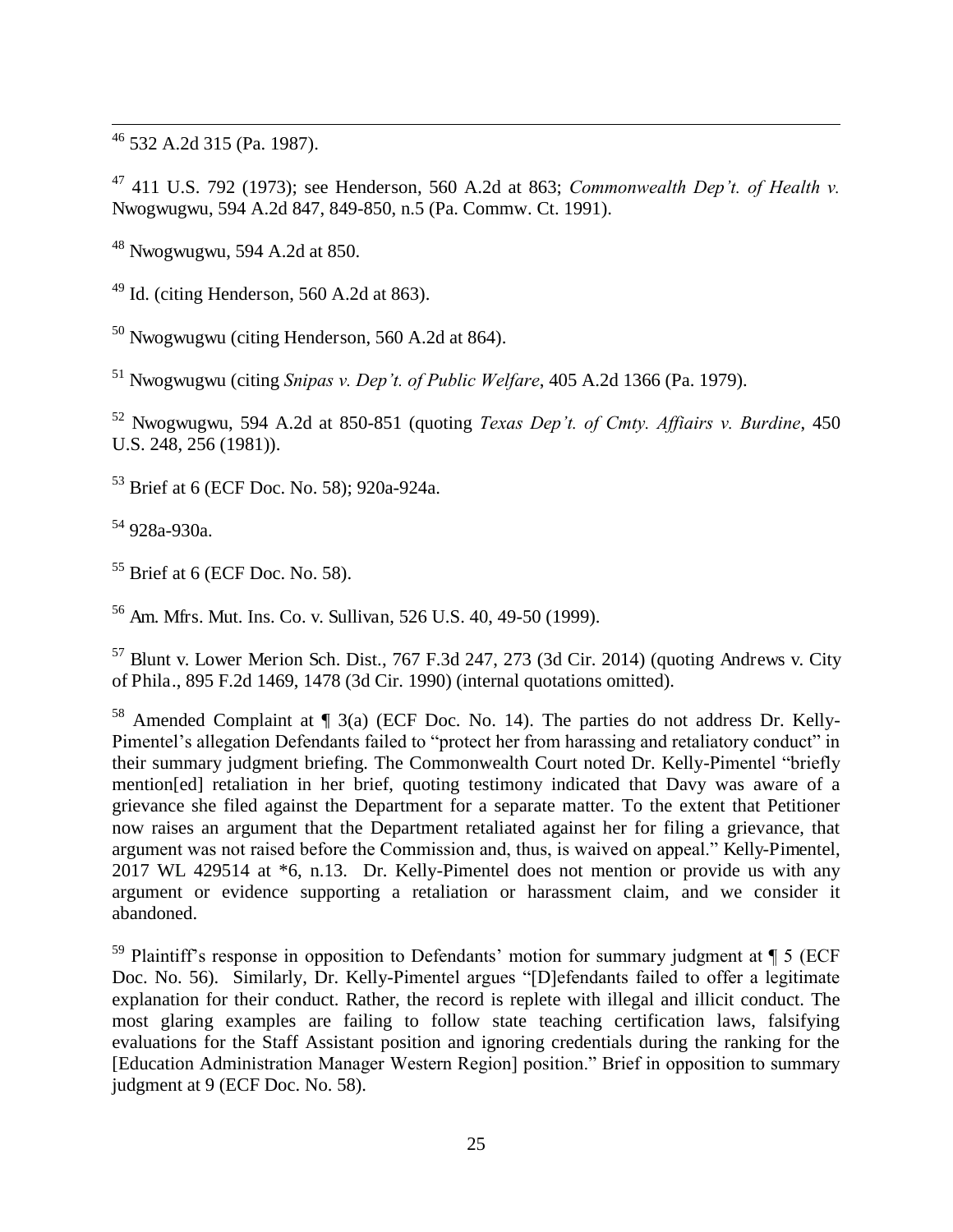<sup>46</sup> 532 A.2d 315 (Pa. 1987).

<sup>47</sup> 411 U.S. 792 (1973); see Henderson, 560 A.2d at 863; *Commonwealth Dep't. of Health v.*  Nwogwugwu, 594 A.2d 847, 849-850, n.5 (Pa. Commw. Ct. 1991).

<sup>48</sup> Nwogwugwu, 594 A.2d at 850.

 $49$  Id. (citing Henderson, 560 A.2d at 863).

 $50$  Nwogwugwu (citing Henderson, 560 A.2d at 864).

<sup>51</sup> Nwogwugwu (citing *Snipas v. Dep't. of Public Welfare*, 405 A.2d 1366 (Pa. 1979).

<sup>52</sup> Nwogwugwu, 594 A.2d at 850-851 (quoting *Texas Dep't. of Cmty. Affiairs v. Burdine*, 450 U.S. 248, 256 (1981)).

<sup>53</sup> Brief at 6 (ECF Doc. No. 58); 920a-924a.

<sup>54</sup> 928a-930a.

 $55$  Brief at 6 (ECF Doc. No. 58).

<sup>56</sup> Am. Mfrs. Mut. Ins. Co. v. Sullivan, 526 U.S. 40, 49-50 (1999).

 $57$  Blunt v. Lower Merion Sch. Dist., 767 F.3d 247, 273 (3d Cir. 2014) (quoting Andrews v. City of Phila., 895 F.2d 1469, 1478 (3d Cir. 1990) (internal quotations omitted).

<sup>58</sup> Amended Complaint at  $\P$  3(a) (ECF Doc. No. 14). The parties do not address Dr. Kelly-Pimentel's allegation Defendants failed to "protect her from harassing and retaliatory conduct" in their summary judgment briefing. The Commonwealth Court noted Dr. Kelly-Pimentel "briefly mention[ed] retaliation in her brief, quoting testimony indicated that Davy was aware of a grievance she filed against the Department for a separate matter. To the extent that Petitioner now raises an argument that the Department retaliated against her for filing a grievance, that argument was not raised before the Commission and, thus, is waived on appeal." Kelly-Pimentel, 2017 WL 429514 at \*6, n.13. Dr. Kelly-Pimentel does not mention or provide us with any argument or evidence supporting a retaliation or harassment claim, and we consider it abandoned.

 $59$  Plaintiff's response in opposition to Defendants' motion for summary judgment at  $\P$  5 (ECF) Doc. No. 56). Similarly, Dr. Kelly-Pimentel argues "[D]efendants failed to offer a legitimate explanation for their conduct. Rather, the record is replete with illegal and illicit conduct. The most glaring examples are failing to follow state teaching certification laws, falsifying evaluations for the Staff Assistant position and ignoring credentials during the ranking for the [Education Administration Manager Western Region] position." Brief in opposition to summary judgment at 9 (ECF Doc. No. 58).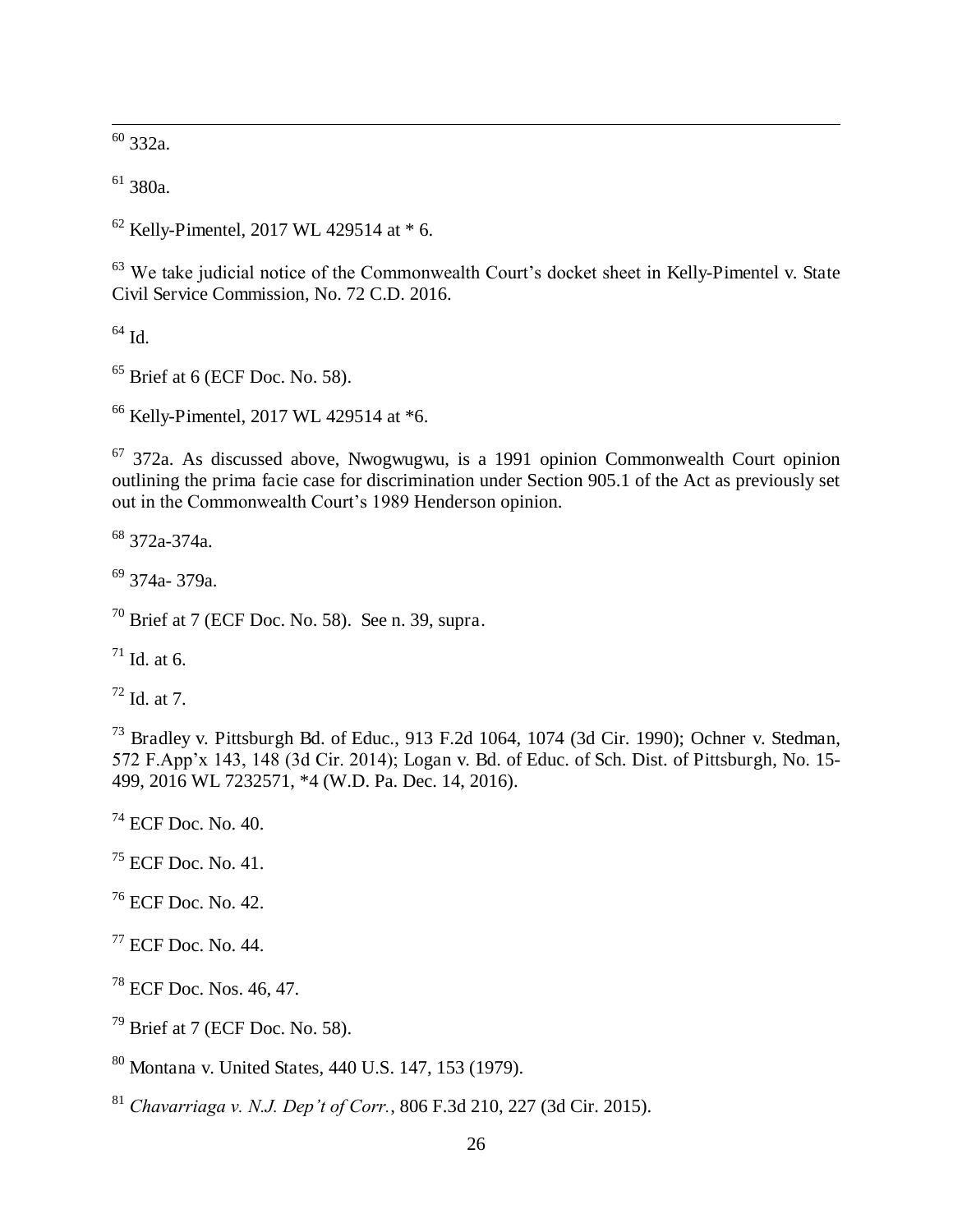332a.

380a.

Kelly-Pimentel, 2017 WL 429514 at  $*$  6.

<sup>63</sup> We take judicial notice of the Commonwealth Court's docket sheet in Kelly-Pimentel v. State Civil Service Commission, No. 72 C.D. 2016.

Id.

 $<sup>65</sup>$  Brief at 6 (ECF Doc. No. 58).</sup>

Kelly-Pimentel, 2017 WL 429514 at \*6.

 372a. As discussed above, Nwogwugwu, is a 1991 opinion Commonwealth Court opinion outlining the prima facie case for discrimination under Section 905.1 of the Act as previously set out in the Commonwealth Court's 1989 Henderson opinion.

372a-374a.

374a- 379a.

Brief at 7 (ECF Doc. No. 58). See n. 39, supra.

Id. at 6.

Id. at 7.

 Bradley v. Pittsburgh Bd. of Educ., 913 F.2d 1064, 1074 (3d Cir. 1990); Ochner v. Stedman, 572 F.App'x 143, 148 (3d Cir. 2014); Logan v. Bd. of Educ. of Sch. Dist. of Pittsburgh, No. 15- 499, 2016 WL 7232571, \*4 (W.D. Pa. Dec. 14, 2016).

ECF Doc. No. 40.

 $^{75}$  ECF Doc. No. 41.

ECF Doc. No. 42.

ECF Doc. No. 44.

ECF Doc. Nos. 46, 47.

Brief at 7 (ECF Doc. No. 58).

Montana v. United States, 440 U.S. 147, 153 (1979).

*Chavarriaga v. N.J. Dep't of Corr.*, 806 F.3d 210, 227 (3d Cir. 2015).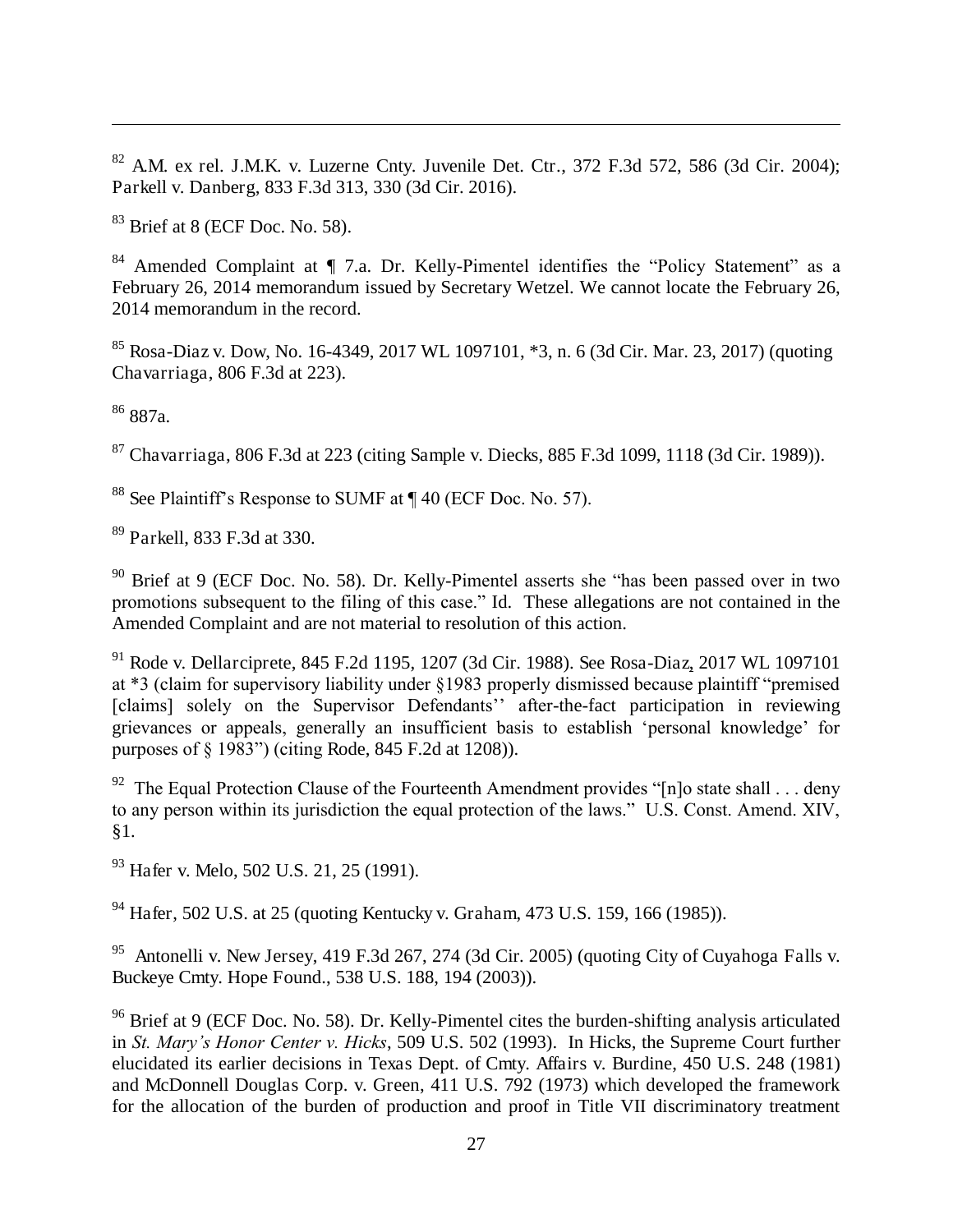$82$  A.M. ex rel. J.M.K. v. Luzerne Cnty. Juvenile Det. Ctr., 372 F.3d 572, 586 (3d Cir. 2004); Parkell v. Danberg, 833 F.3d 313, 330 (3d Cir. 2016).

 $83$  Brief at 8 (ECF Doc. No. 58).

84 Amended Complaint at ¶ 7.a. Dr. Kelly-Pimentel identifies the "Policy Statement" as a February 26, 2014 memorandum issued by Secretary Wetzel. We cannot locate the February 26, 2014 memorandum in the record.

<sup>85</sup> Rosa-Diaz v. Dow, No. 16-4349, 2017 WL 1097101, \*3, n. 6 (3d Cir. Mar. 23, 2017) (quoting Chavarriaga, 806 F.3d at 223).

<sup>86</sup> 887a.

 $87$  Chavarriaga, 806 F.3d at 223 (citing Sample v. Diecks, 885 F.3d 1099, 1118 (3d Cir. 1989)).

<sup>88</sup> See Plaintiff's Response to SUMF at ¶ 40 (ECF Doc. No. 57).

<sup>89</sup> Parkell, 833 F.3d at 330.

<sup>90</sup> Brief at 9 (ECF Doc. No. 58). Dr. Kelly-Pimentel asserts she "has been passed over in two promotions subsequent to the filing of this case." Id. These allegations are not contained in the Amended Complaint and are not material to resolution of this action.

<sup>91</sup> Rode v. Dellarciprete, 845 F.2d 1195, 1207 (3d Cir. 1988). See Rosa-Diaz, 2017 WL 1097101 at \*3 (claim for supervisory liability under §1983 properly dismissed because plaintiff "premised [claims] solely on the Supervisor Defendants'' after-the-fact participation in reviewing grievances or appeals, generally an insufficient basis to establish 'personal knowledge' for purposes of § 1983") (citing Rode, 845 F.2d at 1208)).

<sup>92</sup> The Equal Protection Clause of the Fourteenth Amendment provides "[n]o state shall . . . deny to any person within its jurisdiction the equal protection of the laws." U.S. Const. Amend. XIV, §1.

<sup>93</sup> Hafer v. Melo, 502 U.S. 21, 25 (1991).

<sup>94</sup> Hafer, 502 U.S. at 25 (quoting Kentucky v. Graham, 473 U.S. 159, 166 (1985)).

<sup>95</sup> Antonelli v. New Jersey, 419 F.3d 267, 274 (3d Cir. 2005) (quoting City of Cuyahoga Falls v. Buckeye Cmty. Hope Found., 538 U.S. 188, 194 (2003)).

<sup>96</sup> Brief at 9 (ECF Doc. No. 58). Dr. Kelly-Pimentel cites the burden-shifting analysis articulated in *St. Mary's Honor Center v. Hicks*, 509 U.S. 502 (1993). In Hicks, the Supreme Court further elucidated its earlier decisions in Texas Dept. of Cmty. Affairs v. Burdine, 450 U.S. 248 (1981) and McDonnell Douglas Corp. v. Green, 411 U.S. 792 (1973) which developed the framework for the allocation of the burden of production and proof in Title VII discriminatory treatment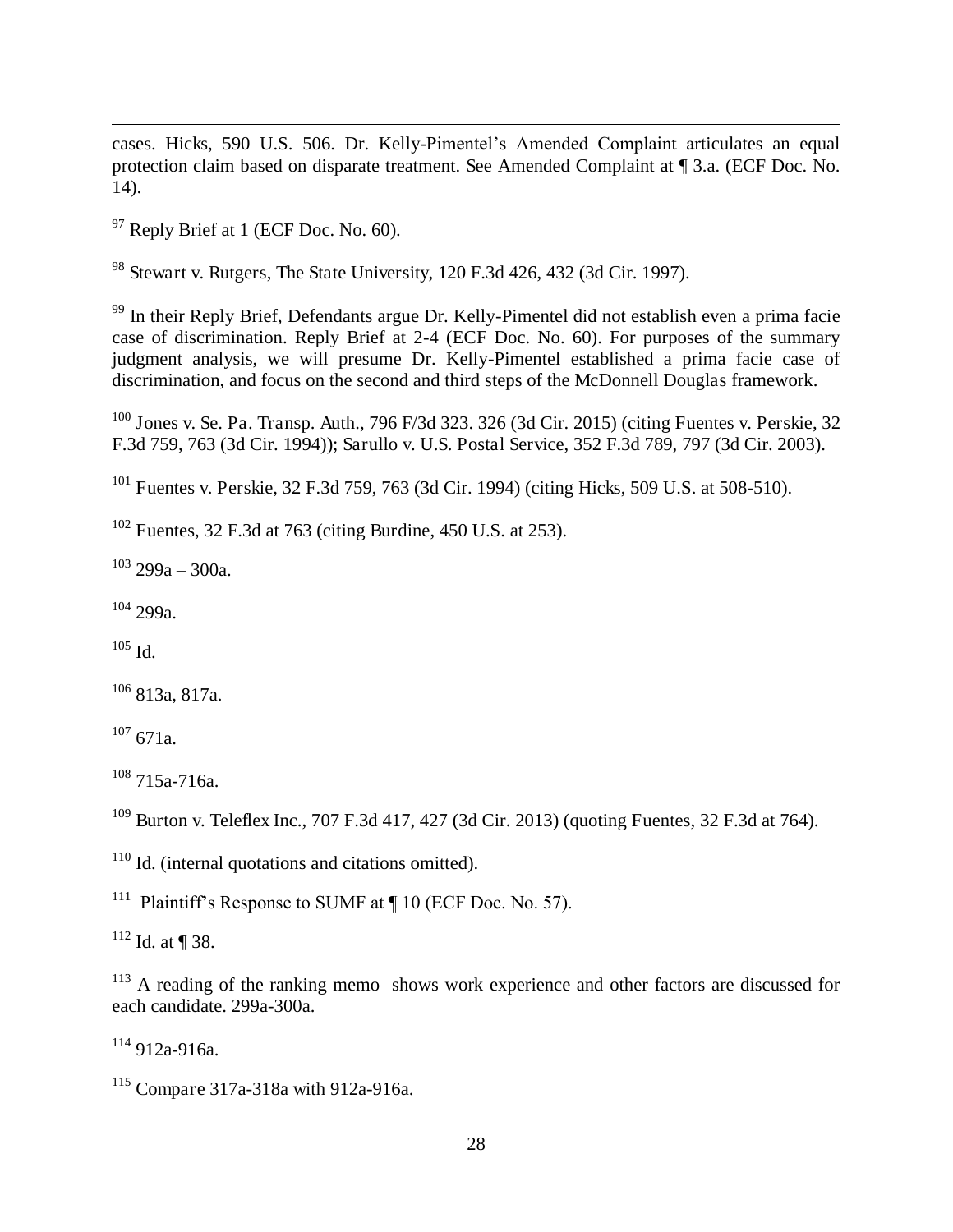cases. Hicks, 590 U.S. 506. Dr. Kelly-Pimentel's Amended Complaint articulates an equal protection claim based on disparate treatment. See Amended Complaint at ¶ 3.a. (ECF Doc. No. 14).

 $97$  Reply Brief at 1 (ECF Doc. No. 60).

<sup>98</sup> Stewart v. Rutgers, The State University, 120 F.3d 426, 432 (3d Cir. 1997).

<sup>99</sup> In their Reply Brief, Defendants argue Dr. Kelly-Pimentel did not establish even a prima facie case of discrimination. Reply Brief at 2-4 (ECF Doc. No. 60). For purposes of the summary judgment analysis, we will presume Dr. Kelly-Pimentel established a prima facie case of discrimination, and focus on the second and third steps of the McDonnell Douglas framework.

 $100$  Jones v. Se. Pa. Transp. Auth., 796 F/3d 323. 326 (3d Cir. 2015) (citing Fuentes v. Perskie, 32 F.3d 759, 763 (3d Cir. 1994)); Sarullo v. U.S. Postal Service, 352 F.3d 789, 797 (3d Cir. 2003).

<sup>101</sup> Fuentes v. Perskie, 32 F.3d 759, 763 (3d Cir. 1994) (citing Hicks, 509 U.S. at 508-510).

 $102$  Fuentes, 32 F.3d at 763 (citing Burdine, 450 U.S. at 253).

 $103 \text{ } 299a - 300a$ .

<sup>104</sup> 299a.

 $105$  Id.

 $106$  813a, 817a.

 $107$  671a.

<sup>108</sup> 715a-716a.

<sup>109</sup> Burton v. Teleflex Inc., 707 F.3d 417, 427 (3d Cir. 2013) (quoting Fuentes, 32 F.3d at 764).

<sup>110</sup> Id. (internal quotations and citations omitted).

<sup>111</sup> Plaintiff's Response to SUMF at  $\P$  10 (ECF Doc. No. 57).

 $112$  Id. at ¶ 38.

<sup>113</sup> A reading of the ranking memo shows work experience and other factors are discussed for each candidate. 299a-300a.

 $114912a-916a$ .

<sup>115</sup> Compare 317a-318a with 912a-916a.